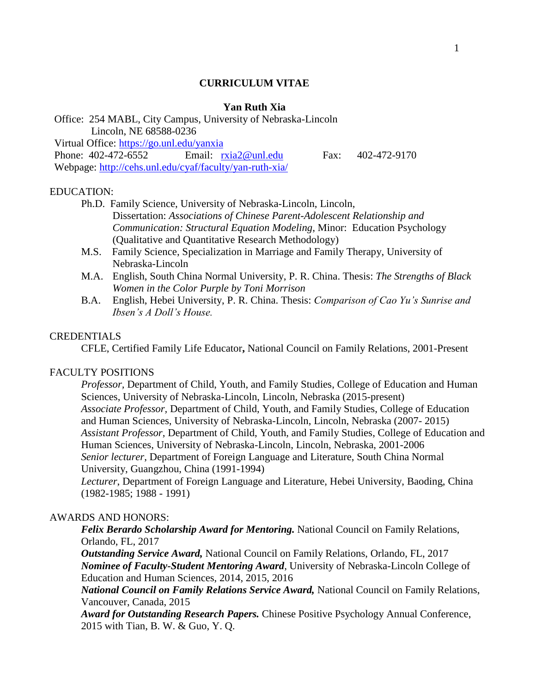#### **CURRICULUM VITAE**

## **Yan Ruth Xia**

Office: 254 MABL, City Campus, University of Nebraska-Lincoln Lincoln, NE 68588-0236

Virtual Office:<https://go.unl.edu/yanxia>

Phone: 402-472-6552 Email: [rxia2@unl.edu](mailto:rxia2@unl.edu) Fax: 402-472-9170 Webpage:<http://cehs.unl.edu/cyaf/faculty/yan-ruth-xia/>

#### EDUCATION:

- Ph.D. Family Science, University of Nebraska-Lincoln, Lincoln, Dissertation: *Associations of Chinese Parent-Adolescent Relationship and Communication: Structural Equation Modeling*, Minor: Education Psychology (Qualitative and Quantitative Research Methodology)
- M.S. Family Science, Specialization in Marriage and Family Therapy, University of Nebraska-Lincoln
- M.A. English, South China Normal University, P. R. China. Thesis: *The Strengths of Black Women in the Color Purple by Toni Morrison*
- B.A. English, Hebei University, P. R. China. Thesis: *Comparison of Cao Yu's Sunrise and Ibsen's A Doll's House.*

## **CREDENTIALS**

CFLE, Certified Family Life Educator**,** National Council on Family Relations, 2001-Present

#### FACULTY POSITIONS

*Professor,* Department of Child, Youth, and Family Studies, College of Education and Human Sciences, University of Nebraska-Lincoln, Lincoln, Nebraska (2015-present) *Associate Professor,* Department of Child, Youth, and Family Studies, College of Education and Human Sciences, University of Nebraska-Lincoln, Lincoln, Nebraska (2007- 2015) *Assistant Professor*, Department of Child, Youth, and Family Studies, College of Education and Human Sciences, University of Nebraska-Lincoln, Lincoln, Nebraska, 2001-2006 *Senior lecturer*, Department of Foreign Language and Literature, South China Normal University, Guangzhou, China (1991-1994)

*Lecturer*, Department of Foreign Language and Literature, Hebei University, Baoding, China (1982-1985; 1988 - 1991)

#### AWARDS AND HONORS:

*Felix Berardo Scholarship Award for Mentoring.* National Council on Family Relations, Orlando, FL, 2017

*Outstanding Service Award,* National Council on Family Relations, Orlando, FL, 2017 *Nominee of Faculty-Student Mentoring Award*, University of Nebraska-Lincoln College of Education and Human Sciences, 2014, 2015, 2016

*National Council on Family Relations Service Award,* National Council on Family Relations, Vancouver, Canada, 2015

*Award for Outstanding Research Papers.* Chinese Positive Psychology Annual Conference, 2015 with Tian, B. W. & Guo, Y. Q.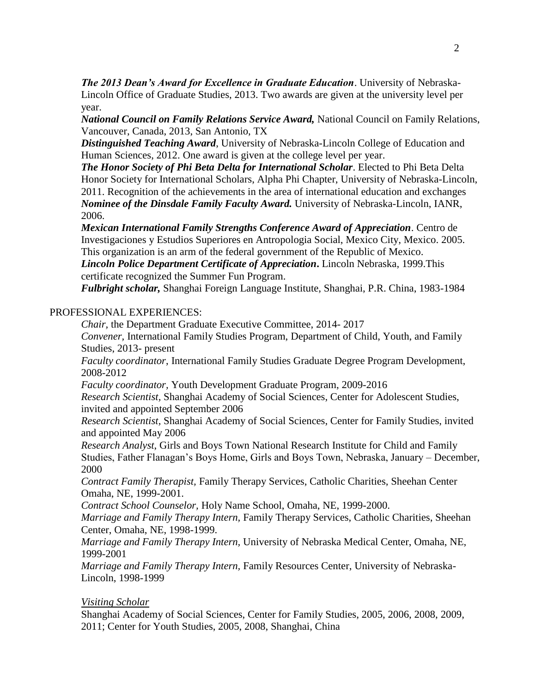*The 2013 Dean's Award for Excellence in Graduate Education*. University of Nebraska-Lincoln Office of Graduate Studies, 2013. Two awards are given at the university level per year.

*National Council on Family Relations Service Award,* National Council on Family Relations, Vancouver, Canada, 2013, San Antonio, TX

*Distinguished Teaching Award*, University of Nebraska-Lincoln College of Education and Human Sciences, 2012. One award is given at the college level per year.

*The Honor Society of Phi Beta Delta for International Scholar*. Elected to Phi Beta Delta Honor Society for International Scholars, Alpha Phi Chapter, University of Nebraska-Lincoln, 2011. Recognition of the achievements in the area of international education and exchanges *Nominee of the Dinsdale Family Faculty Award.* University of Nebraska-Lincoln, IANR, 2006.

*Mexican International Family Strengths Conference Award of Appreciation*. Centro de Investigaciones y Estudios Superiores en Antropologia Social, Mexico City, Mexico. 2005. This organization is an arm of the federal government of the Republic of Mexico.

*Lincoln Police Department Certificate of Appreciation***.** Lincoln Nebraska, 1999.This certificate recognized the Summer Fun Program.

*Fulbright scholar,* Shanghai Foreign Language Institute, Shanghai, P.R. China, 1983-1984

## PROFESSIONAL EXPERIENCES:

*Chair,* the Department Graduate Executive Committee, 2014- 2017

*Convener,* International Family Studies Program, Department of Child, Youth, and Family Studies, 2013- present

*Faculty coordinator*, International Family Studies Graduate Degree Program Development, 2008-2012

*Faculty coordinator,* Youth Development Graduate Program, 2009-2016

*Research Scientist,* Shanghai Academy of Social Sciences, Center for Adolescent Studies, invited and appointed September 2006

*Research Scientist,* Shanghai Academy of Social Sciences, Center for Family Studies, invited and appointed May 2006

*Research Analyst*, Girls and Boys Town National Research Institute for Child and Family Studies, Father Flanagan's Boys Home, Girls and Boys Town, Nebraska, January – December, 2000

*Contract Family Therapist,* Family Therapy Services, Catholic Charities, Sheehan Center Omaha, NE, 1999-2001.

*Contract School Counselor,* Holy Name School, Omaha, NE, 1999-2000.

*Marriage and Family Therapy Intern,* Family Therapy Services, Catholic Charities, Sheehan Center, Omaha, NE, 1998-1999.

*Marriage and Family Therapy Intern,* University of Nebraska Medical Center, Omaha, NE, 1999-2001

*Marriage and Family Therapy Intern,* Family Resources Center, University of Nebraska-Lincoln, 1998-1999

## *Visiting Scholar*

Shanghai Academy of Social Sciences, Center for Family Studies, 2005, 2006, 2008, 2009, 2011; Center for Youth Studies, 2005, 2008, Shanghai, China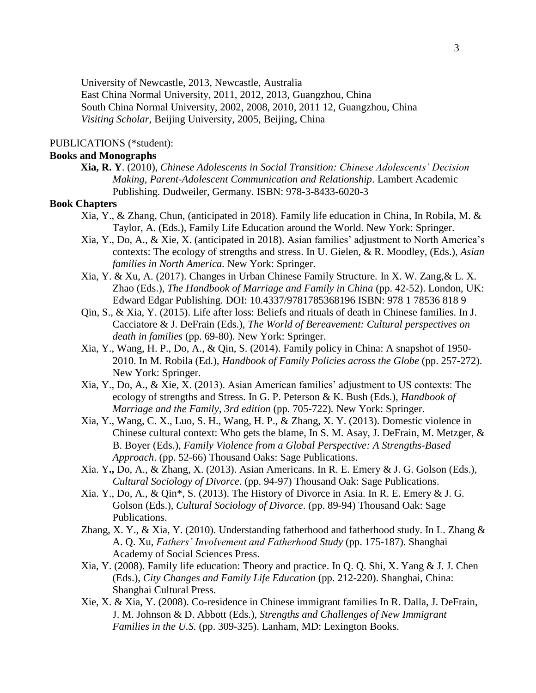University of Newcastle, 2013, Newcastle, Australia

East China Normal University, 2011, 2012, 2013, Guangzhou, China

South China Normal University, 2002, 2008, 2010, 2011 12, Guangzhou, China

*Visiting Scholar,* Beijing University, 2005, Beijing, China

## PUBLICATIONS (\*student):

## **Books and Monographs**

**Xia, R. Y**. (2010), *Chinese Adolescents in Social Transition: Chinese Adolescents' Decision Making, Parent-Adolescent Communication and Relationship*. Lambert Academic Publishing. Dudweiler, Germany. ISBN: 978-3-8433-6020-3

## **Book Chapters**

- Xia, Y., & Zhang, Chun, (anticipated in 2018). Family life education in China, In Robila, M. & Taylor, A. (Eds.), Family Life Education around the World. New York: Springer.
- Xia, Y., Do, A., & Xie, X. (anticipated in 2018). Asian families' adjustment to North America's contexts: The ecology of strengths and stress. In U. Gielen, & R. Moodley, (Eds.), *Asian families in North America.* New York: Springer.
- Xia, Y. & Xu, A. (2017). Changes in Urban Chinese Family Structure*.* In X. W. Zang,& L. X. Zhao (Eds.), *The Handbook of Marriage and Family in China* (pp. 42-52). London, UK: Edward Edgar Publishing. DOI: 10.4337/9781785368196 ISBN: 978 1 78536 818 9
- Qin, S., & Xia, Y. (2015). Life after loss: Beliefs and rituals of death in Chinese families. In J. Cacciatore & J. DeFrain (Eds.), *The World of Bereavement: Cultural perspectives on death in families* (pp. 69-80). New York: Springer.
- Xia, Y., Wang, H. P., Do, A., & Qin, S. (2014). Family policy in China: A snapshot of 1950- 2010. In M. Robila (Ed.), *Handbook of Family Policies across the Globe* (pp. 257-272). New York: Springer.
- Xia, Y., Do, A., & Xie, X. (2013). Asian American families' adjustment to US contexts: The ecology of strengths and Stress. In G. P. Peterson & K. Bush (Eds.), *Handbook of Marriage and the Family, 3rd edition* (pp. 705-722)*.* New York: Springer.
- Xia, Y., Wang, C. X., Luo, S. H., Wang, H. P., & Zhang, X. Y. (2013). Domestic violence in Chinese cultural context: Who gets the blame, In S. M. Asay, J. DeFrain, M. Metzger, & B. Boyer (Eds.), *Family Violence from a Global Perspective: A Strengths-Based Approach*. (pp. 52-66) Thousand Oaks: Sage Publications.
- Xia. Y**.,** Do, A., & Zhang, X. (2013). Asian Americans. In R. E. Emery & J. G. Golson (Eds.), *Cultural Sociology of Divorce*. (pp. 94-97) Thousand Oak: Sage Publications.
- Xia. Y., Do, A., & Qin\*, S. (2013). The History of Divorce in Asia. In R. E. Emery & J. G. Golson (Eds.), *Cultural Sociology of Divorce*. (pp. 89-94) Thousand Oak: Sage Publications.
- Zhang, X. Y., & Xia, Y. (2010). Understanding fatherhood and fatherhood study. In L. Zhang & A. Q. Xu, *Fathers' Involvement and Fatherhood Study* (pp. 175-187). Shanghai Academy of Social Sciences Press.
- Xia, Y. (2008). Family life education: Theory and practice. In Q. Q. Shi, X. Yang & J. J. Chen (Eds.), *City Changes and Family Life Education* (pp. 212-220). Shanghai, China: Shanghai Cultural Press.
- Xie, X. & Xia, Y. (2008). Co-residence in Chinese immigrant families In R. Dalla, J. DeFrain, J. M. Johnson & D. Abbott (Eds.), *Strengths and Challenges of New Immigrant Families in the U.S.* (pp. 309-325). Lanham, MD: Lexington Books.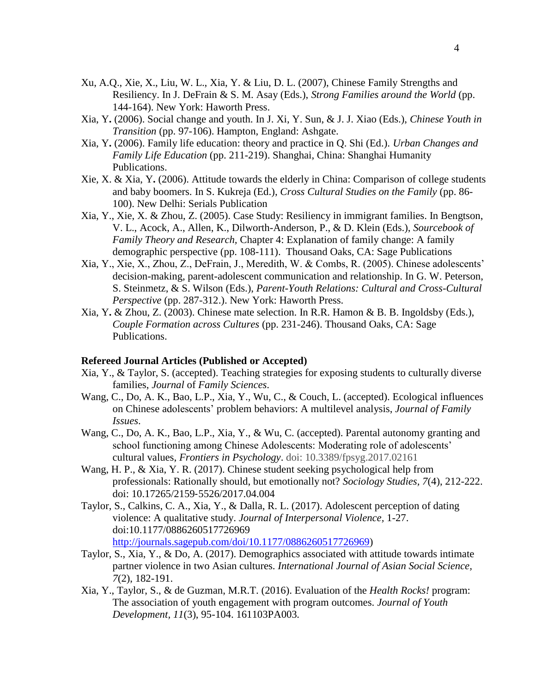- Xu, A.Q., Xie, X., Liu, W. L., Xia, Y. & Liu, D. L. (2007), Chinese Family Strengths and Resiliency. In J. DeFrain & S. M. Asay (Eds.), *Strong Families around the World* (pp. 144-164). New York: Haworth Press.
- Xia, Y**.** (2006). Social change and youth. In J. Xi, Y. Sun, & J. J. Xiao (Eds.), *Chinese Youth in Transition* (pp. 97-106). Hampton, England: Ashgate.
- Xia, Y**.** (2006). Family life education: theory and practice in Q. Shi (Ed.). *Urban Changes and Family Life Education* (pp. 211-219). Shanghai, China: Shanghai Humanity Publications.
- Xie, X. & Xia, Y**.** (2006). Attitude towards the elderly in China: Comparison of college students and baby boomers. In S. Kukreja (Ed.), *Cross Cultural Studies on the Family* (pp. 86- 100). New Delhi: Serials Publication
- Xia, Y., Xie, X. & Zhou, Z. (2005). Case Study: Resiliency in immigrant families. In Bengtson, V. L., Acock, A., Allen, K., Dilworth-Anderson, P., & D. Klein (Eds.), *Sourcebook of Family Theory and Research,* Chapter 4: Explanation of family change: A family demographic perspective (pp. 108-111). Thousand Oaks, CA: Sage Publications
- Xia, Y., Xie, X., Zhou, Z., DeFrain, J., Meredith, W. & Combs, R. (2005). Chinese adolescents' decision-making, parent-adolescent communication and relationship. In G. W. Peterson, S. Steinmetz, & S. Wilson (Eds.), *Parent-Youth Relations: Cultural and Cross-Cultural Perspective* (pp. 287-312.). New York: Haworth Press.
- Xia, Y**.** & Zhou, Z. (2003). Chinese mate selection. In R.R. Hamon & B. B. Ingoldsby (Eds.), *Couple Formation across Cultures* (pp. 231-246). Thousand Oaks, CA: Sage Publications.

### **Refereed Journal Articles (Published or Accepted)**

- Xia, Y., & Taylor, S. (accepted). Teaching strategies for exposing students to culturally diverse families, *Journal* of *Family Sciences*.
- Wang, C., Do, A. K., Bao, L.P., Xia, Y., Wu, C., & Couch, L. (accepted). Ecological influences on Chinese adolescents' problem behaviors: A multilevel analysis, *Journal of Family Issues*.
- Wang, C., Do, A. K., Bao, L.P., Xia, Y., & Wu, C. (accepted). Parental autonomy granting and school functioning among Chinese Adolescents: Moderating role of adolescents' cultural values, *Frontiers in Psychology*. doi: 10.3389/fpsyg.2017.02161
- Wang, H. P., & Xia, Y. R. (2017). Chinese student seeking psychological help from professionals: Rationally should, but emotionally not? *Sociology Studies, 7*(4), 212-222. doi: 10.17265/2159‐5526/2017.04.004
- Taylor, S., Calkins, C. A., Xia, Y., & Dalla, R. L. (2017). Adolescent perception of dating violence: A qualitative study. *Journal of Interpersonal Violence,* 1-27. doi:10.1177/0886260517726969 [http://journals.sagepub.com/doi/10.1177/0886260517726969\)](http://journals.sagepub.com/doi/10.1177/0886260517726969)
- Taylor, S., Xia, Y., & Do, A. (2017). Demographics associated with attitude towards intimate partner violence in two Asian cultures. *International Journal of Asian Social Science, 7*(2), 182-191.
- Xia, Y., Taylor, S., & de Guzman, M.R.T. (2016). Evaluation of the *Health Rocks!* program: The association of youth engagement with program outcomes. *Journal of Youth Development, 11*(3), 95-104. 161103PA003*.*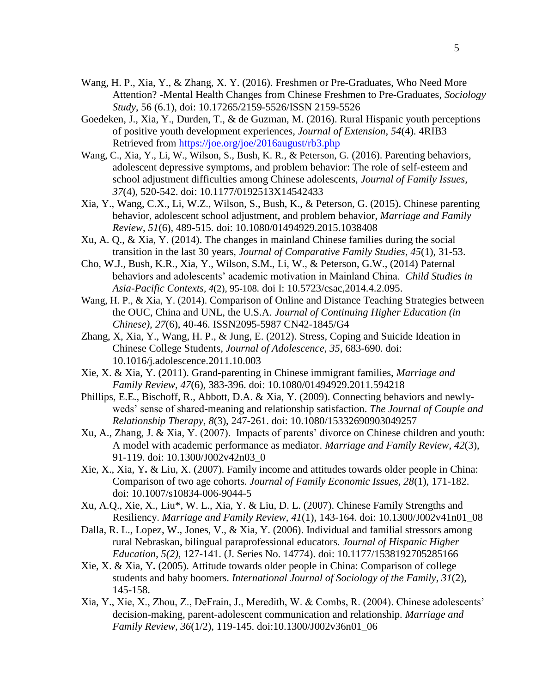- Wang, H. P., Xia, Y., & Zhang, X. Y. (2016). Freshmen or Pre-Graduates, Who Need More Attention? -Mental Health Changes from Chinese Freshmen to Pre-Graduates, *Sociology Study*, 56 (6.1), doi: 10.17265/2159-5526/ISSN 2159-5526
- Goedeken, J., Xia, Y., Durden, T., & de Guzman, M. (2016). Rural Hispanic youth perceptions of positive youth development experiences, *Journal of Extension*, *54*(4). 4RIB3 Retrieved from<https://joe.org/joe/2016august/rb3.php>
- Wang, C., Xia, Y., Li, W., Wilson, S., Bush, K. R., & Peterson, G. (2016). Parenting behaviors, adolescent depressive symptoms, and problem behavior: The role of self-esteem and school adjustment difficulties among Chinese adolescents, *Journal of Family Issues, 37*(4), 520-542. doi: 10.1177/0192513X14542433
- Xia, Y., Wang, C.X., Li, W.Z., Wilson, S., Bush, K., & Peterson, G. (2015). Chinese parenting behavior, adolescent school adjustment, and problem behavior, *Marriage and Family Review*, *51*(6), 489-515. doi: 10.1080/01494929.2015.1038408
- Xu, A. Q., & Xia, Y. (2014). The changes in mainland Chinese families during the social transition in the last 30 years, *Journal of Comparative Family Studies*, *45*(1), 31-53.
- Cho, W.J., Bush, K.R., Xia, Y., Wilson, S.M., Li, W., & Peterson, G.W., (2014) Paternal behaviors and adolescents' academic motivation in Mainland China. *Child Studies in Asia-Pacific Contexts, 4*(2), 95-108*.* doi I: 10.5723/csac,2014.4.2.095.
- Wang, H. P., & Xia, Y. (2014). Comparison of Online and Distance Teaching Strategies between the OUC, China and UNL, the U.S.A. *Journal of Continuing Higher Education (in Chinese), 27*(6), 40-46. ISSN2095-5987 CN42-1845/G4
- Zhang, X, Xia, Y., Wang, H. P., & Jung, E. (2012). Stress, Coping and Suicide Ideation in Chinese College Students, *Journal of Adolescence*, *35*, 683-690. doi: 10.1016/j.adolescence.2011.10.003
- Xie, X. & Xia, Y. (2011). Grand-parenting in Chinese immigrant families, *Marriage and Family Review*, *47*(6), 383-396. doi: 10.1080/01494929.2011.594218
- Phillips, E.E., Bischoff, R., Abbott, D.A. & Xia, Y. (2009). Connecting behaviors and newlyweds' sense of shared-meaning and relationship satisfaction. *The Journal of Couple and Relationship Therapy, 8*(3), 247-261. doi: 10.1080/15332690903049257
- Xu, A., Zhang, J. & Xia, Y. (2007). Impacts of parents' divorce on Chinese children and youth: A model with academic performance as mediator. *Marriage and Family Review*, *42*(3), 91-119. doi: 10.1300/J002v42n03\_0
- Xie, X., Xia, Y**.** & Liu, X. (2007). Family income and attitudes towards older people in China: Comparison of two age cohorts. *Journal of Family Economic Issues, 28*(1), 171-182. doi: 10.1007/s10834-006-9044-5
- Xu, A.Q., Xie, X., Liu\*, W. L., Xia, Y. & Liu, D. L. (2007). Chinese Family Strengths and Resiliency. *Marriage and Family Review*, *41*(1), 143-164. doi: 10.1300/J002v41n01\_08
- Dalla, R. L., Lopez, W., Jones, V., & Xia, Y. (2006). Individual and familial stressors among rural Nebraskan, bilingual paraprofessional educators. *Journal of Hispanic Higher Education, 5(2)*, 127-141. (J. Series No. 14774). doi: 10.1177/1538192705285166
- Xie, X. & Xia, Y**.** (2005). Attitude towards older people in China: Comparison of college students and baby boomers. *International Journal of Sociology of the Family*, *31*(2), 145-158.
- Xia, Y., Xie, X., Zhou, Z., DeFrain, J., Meredith, W. & Combs, R. (2004). Chinese adolescents' decision-making, parent-adolescent communication and relationship. *Marriage and Family Review, 36*(1/2), 119-145. doi:10.1300/J002v36n01\_06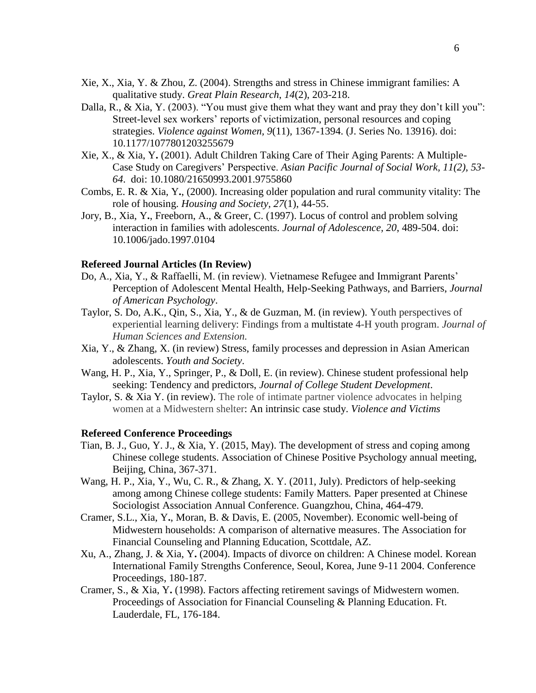- Xie, X., Xia, Y. & Zhou, Z. (2004). Strengths and stress in Chinese immigrant families: A qualitative study. *Great Plain Research*, *14*(2), 203-218.
- Dalla, R., & Xia, Y. (2003). "You must give them what they want and pray they don't kill you": Street-level sex workers' reports of victimization, personal resources and coping strategies. *Violence against Women, 9*(11)*,* 1367-1394. (J. Series No. 13916). doi: 10.1177/1077801203255679
- Xie, X., & Xia, Y**.** (2001). Adult Children Taking Care of Their Aging Parents: A Multiple-Case Study on Caregivers' Perspective. *Asian Pacific Journal of Social Work, 11(2), 53- 64*. doi: 10.1080/21650993.2001.9755860
- Combs, E. R. & Xia, Y**.**, (2000). Increasing older population and rural community vitality: The role of housing. *Housing and Society, 27*(1), 44-55.
- Jory, B., Xia, Y**.**, Freeborn, A., & Greer, C. (1997). Locus of control and problem solving interaction in families with adolescents. *Journal of Adolescence, 20*, 489-504. doi: 10.1006/jado.1997.0104

#### **Refereed Journal Articles (In Review)**

- Do, A., Xia, Y., & Raffaelli, M. (in review). Vietnamese Refugee and Immigrant Parents' Perception of Adolescent Mental Health, Help-Seeking Pathways, and Barriers, *Journal of American Psychology*.
- Taylor, S. Do, A.K., Qin, S., Xia, Y., & de Guzman, M. (in review). Youth perspectives of experiential learning delivery: Findings from a multistate 4-H youth program. *Journal of Human Sciences and Extension.*
- Xia, Y., & Zhang, X. (in review) Stress, family processes and depression in Asian American adolescents. *Youth and Society*.
- Wang, H. P., Xia, Y., Springer, P., & Doll, E. (in review). Chinese student professional help seeking: Tendency and predictors, *Journal of College Student Development*.
- Taylor, S. & Xia Y. (in review). The role of intimate partner violence advocates in helping women at a Midwestern shelter: An intrinsic case study. *Violence and Victims*

## **Refereed Conference Proceedings**

- Tian, B. J., Guo, Y. J., & Xia, Y. (2015, May). The development of stress and coping among Chinese college students. Association of Chinese Positive Psychology annual meeting, Beijing, China, 367-371.
- Wang, H. P., Xia, Y., Wu, C. R., & Zhang, X. Y. (2011, July). Predictors of help-seeking among among Chinese college students: Family Matters*.* Paper presented at Chinese Sociologist Association Annual Conference. Guangzhou, China, 464-479.
- Cramer, S.L., Xia, Y**.**, Moran, B. & Davis, E. (2005, November). Economic well-being of Midwestern households: A comparison of alternative measures. The Association for Financial Counseling and Planning Education, Scottdale, AZ.
- Xu, A., Zhang, J. & Xia, Y**.** (2004). Impacts of divorce on children: A Chinese model. Korean International Family Strengths Conference, Seoul, Korea, June 9-11 2004. Conference Proceedings, 180-187.
- Cramer, S., & Xia, Y**.** (1998). Factors affecting retirement savings of Midwestern women. Proceedings of Association for Financial Counseling & Planning Education. Ft. Lauderdale, FL, 176-184.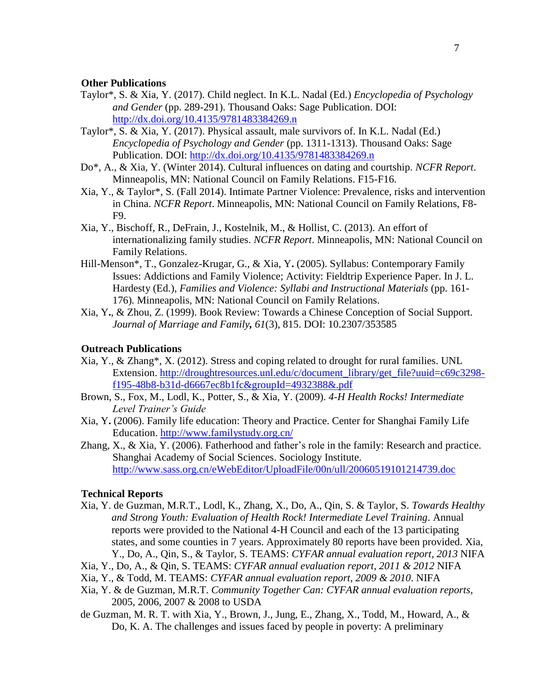#### **Other Publications**

- Taylor\*, S. & Xia, Y. (2017). Child neglect. In K.L. Nadal (Ed.) *Encyclopedia of Psychology and Gender* (pp. 289-291). Thousand Oaks: Sage Publication. DOI: <http://dx.doi.org/10.4135/9781483384269.n>
- Taylor\*, S. & Xia, Y. (2017). Physical assault, male survivors of. In K.L. Nadal (Ed.) *Encyclopedia of Psychology and Gender* (pp. 1311-1313). Thousand Oaks: Sage Publication. DOI:<http://dx.doi.org/10.4135/9781483384269.n>
- Do\*, A., & Xia, Y. (Winter 2014). Cultural influences on dating and courtship. *NCFR Report*. Minneapolis, MN: National Council on Family Relations. F15-F16.
- Xia, Y., & Taylor\*, S. (Fall 2014). Intimate Partner Violence: Prevalence, risks and intervention in China. *NCFR Report*. Minneapolis, MN: National Council on Family Relations, F8- F9.
- Xia, Y., Bischoff, R., DeFrain, J., Kostelnik, M., & Hollist, C. (2013). An effort of internationalizing family studies. *NCFR Report*. Minneapolis, MN: National Council on Family Relations.
- Hill-Menson\*, T., Gonzalez-Krugar, G., & Xia, Y**.** (2005). Syllabus: Contemporary Family Issues: Addictions and Family Violence; Activity: Fieldtrip Experience Paper. In J. L. Hardesty (Ed.), *Families and Violence: Syllabi and Instructional Materials* (pp. 161- 176)*.* Minneapolis, MN: National Council on Family Relations.
- Xia, Y**.**, & Zhou, Z. (1999). Book Review: Towards a Chinese Conception of Social Support. *Journal of Marriage and Family, 61*(3), 815. DOI: 10.2307/353585

## **Outreach Publications**

- Xia, Y., & Zhang\*, X. (2012). Stress and coping related to drought for rural families. UNL Extension. [http://droughtresources.unl.edu/c/document\\_library/get\\_file?uuid=c69c3298](http://droughtresources.unl.edu/c/document_library/get_file?uuid=c69c3298-f195-48b8-b31d-d6667ec8b1fc&groupId=4932388&.pdf) [f195-48b8-b31d-d6667ec8b1fc&groupId=4932388&.pdf](http://droughtresources.unl.edu/c/document_library/get_file?uuid=c69c3298-f195-48b8-b31d-d6667ec8b1fc&groupId=4932388&.pdf)
- Brown, S., Fox, M., Lodl, K., Potter, S., & Xia, Y. (2009). *4-H Health Rocks! Intermediate Level Trainer's Guide*
- Xia, Y**.** (2006). Family life education: Theory and Practice. Center for Shanghai Family Life Education.<http://www.familystudy.org.cn/>
- Zhang, X., & Xia, Y. (2006). Fatherhood and father's role in the family: Research and practice. Shanghai Academy of Social Sciences. Sociology Institute. <http://www.sass.org.cn/eWebEditor/UploadFile/00n/ull/20060519101214739.doc>

#### **Technical Reports**

- Xia, Y. de Guzman, M.R.T., Lodl, K., Zhang, X., Do, A., Qin, S. & Taylor, S. *Towards Healthy and Strong Youth: Evaluation of Health Rock! Intermediate Level Training*. Annual reports were provided to the National 4-H Council and each of the 13 participating states, and some counties in 7 years. Approximately 80 reports have been provided. Xia, Y., Do, A., Qin, S., & Taylor, S. TEAMS: *CYFAR annual evaluation report, 2013* NIFA
- Xia, Y., Do, A., & Qin, S. TEAMS: *CYFAR annual evaluation report, 2011 & 2012* NIFA
- Xia, Y., & Todd, M. TEAMS: *CYFAR annual evaluation report, 2009 & 2010*. NIFA
- Xia, Y. & de Guzman, M.R.T. *Community Together Can: CYFAR annual evaluation reports*, 2005, 2006, 2007 & 2008 to USDA
- de Guzman, M. R. T. with Xia, Y., Brown, J., Jung, E., Zhang, X., Todd, M., Howard, A., & Do, K. A. The challenges and issues faced by people in poverty: A preliminary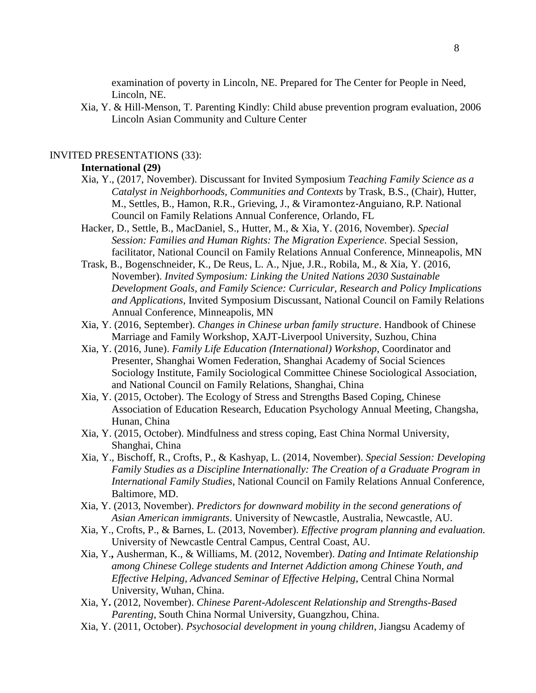examination of poverty in Lincoln, NE. Prepared for The Center for People in Need, Lincoln, NE.

Xia, Y. & Hill-Menson, T. Parenting Kindly: Child abuse prevention program evaluation, 2006 Lincoln Asian Community and Culture Center

### INVITED PRESENTATIONS (33):

## **International (29)**

- Xia, Y., (2017, November). Discussant for Invited Symposium *Teaching Family Science as a Catalyst in Neighborhoods, Communities and Contexts* by Trask, B.S., (Chair), Hutter, M., Settles, B., Hamon, R.R., Grieving, J., & Viramontez-Anguiano, R.P. National Council on Family Relations Annual Conference, Orlando, FL
- Hacker, D., Settle, B., MacDaniel, S., Hutter, M., & Xia, Y. (2016, November). *Special Session: Families and Human Rights: The Migration Experience.* Special Session, facilitator, National Council on Family Relations Annual Conference, Minneapolis, MN
- Trask, B., Bogenschneider, K., De Reus, L. A., Njue, J.R., Robila, M., & Xia, Y. (2016, November). *Invited Symposium: Linking the United Nations 2030 Sustainable Development Goals, and Family Science: Curricular, Research and Policy Implications and Applications*, Invited Symposium Discussant, National Council on Family Relations Annual Conference, Minneapolis, MN
- Xia, Y. (2016, September). *Changes in Chinese urban family structure*. Handbook of Chinese Marriage and Family Workshop, XAJT-Liverpool University, Suzhou, China
- Xia, Y. (2016, June). *Family Life Education (International) Workshop*, Coordinator and Presenter, Shanghai Women Federation, Shanghai Academy of Social Sciences Sociology Institute, Family Sociological Committee Chinese Sociological Association, and National Council on Family Relations, Shanghai, China
- Xia, Y. (2015, October). The Ecology of Stress and Strengths Based Coping, Chinese Association of Education Research, Education Psychology Annual Meeting, Changsha, Hunan, China
- Xia, Y. (2015, October). Mindfulness and stress coping, East China Normal University, Shanghai, China
- Xia, Y., Bischoff, R., Crofts, P., & Kashyap, L. (2014, November). *Special Session: Developing Family Studies as a Discipline Internationally: The Creation of a Graduate Program in International Family Studies*, National Council on Family Relations Annual Conference, Baltimore, MD.
- Xia, Y. (2013, November). *Predictors for downward mobility in the second generations of Asian American immigrants*. University of Newcastle, Australia, Newcastle, AU.
- Xia, Y., Crofts, P., & Barnes, L. (2013, November). *Effective program planning and evaluation.*  University of Newcastle Central Campus, Central Coast, AU.
- Xia, Y.**,** Ausherman, K., & Williams, M. (2012, November). *Dating and Intimate Relationship among Chinese College students and Internet Addiction among Chinese Youth, and Effective Helping, Advanced Seminar of Effective Helping*, Central China Normal University, Wuhan, China.
- Xia, Y**.** (2012, November). *Chinese Parent-Adolescent Relationship and Strengths-Based Parenting*, South China Normal University, Guangzhou, China.
- Xia, Y. (2011, October). *Psychosocial development in young children*, Jiangsu Academy of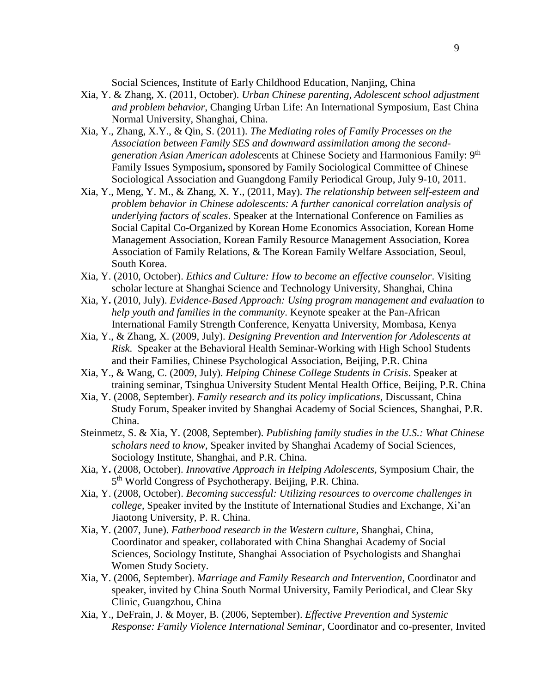Social Sciences, Institute of Early Childhood Education, Nanjing, China

- Xia, Y. & Zhang, X. (2011, October). *Urban Chinese parenting, Adolescent school adjustment and problem behavior*, Changing Urban Life: An International Symposium, East China Normal University, Shanghai, China.
- Xia, Y., Zhang, X.Y., & Qin, S. (2011). *The Mediating roles of Family Processes on the Association between Family SES and downward assimilation among the secondgeneration Asian American adolesc*ents at Chinese Society and Harmonious Family: 9th Family Issues Symposium**,** sponsored by Family Sociological Committee of Chinese Sociological Association and Guangdong Family Periodical Group, July 9-10, 2011.
- Xia, Y., Meng, Y. M., & Zhang, X. Y., (2011, May). *The relationship between self-esteem and problem behavior in Chinese adolescents: A further canonical correlation analysis of underlying factors of scales*. Speaker at the International Conference on Families as Social Capital Co-Organized by Korean Home Economics Association, Korean Home Management Association, Korean Family Resource Management Association, Korea Association of Family Relations, & The Korean Family Welfare Association, Seoul, South Korea.
- Xia, Y. (2010, October). *Ethics and Culture: How to become an effective counselor*. Visiting scholar lecture at Shanghai Science and Technology University, Shanghai, China
- Xia, Y**.** (2010, July). *Evidence-Based Approach: Using program management and evaluation to help youth and families in the community*. Keynote speaker at the Pan-African International Family Strength Conference, Kenyatta University, Mombasa, Kenya
- Xia, Y., & Zhang, X. (2009, July). *Designing Prevention and Intervention for Adolescents at Risk*. Speaker at the Behavioral Health Seminar-Working with High School Students and their Families, Chinese Psychological Association, Beijing, P.R. China
- Xia, Y., & Wang, C. (2009, July). *Helping Chinese College Students in Crisis*. Speaker at training seminar, Tsinghua University Student Mental Health Office, Beijing, P.R. China
- Xia, Y. (2008, September). *Family research and its policy implications*, Discussant, China Study Forum, Speaker invited by Shanghai Academy of Social Sciences, Shanghai, P.R. China.
- Steinmetz, S. & Xia, Y. (2008, September). *Publishing family studies in the U.S.: What Chinese scholars need to know*, Speaker invited by Shanghai Academy of Social Sciences, Sociology Institute, Shanghai, and P.R. China.
- Xia, Y**.** (2008, October). *Innovative Approach in Helping Adolescents,* Symposium Chair, the 5<sup>th</sup> World Congress of Psychotherapy. Beijing, P.R. China.
- Xia, Y. (2008, October). *Becoming successful: Utilizing resources to overcome challenges in college*, Speaker invited by the Institute of International Studies and Exchange, Xi'an Jiaotong University, P. R. China.
- Xia, Y. (2007, June). *Fatherhood research in the Western culture*, Shanghai, China, Coordinator and speaker, collaborated with China Shanghai Academy of Social Sciences, Sociology Institute, Shanghai Association of Psychologists and Shanghai Women Study Society.
- Xia, Y. (2006, September). *Marriage and Family Research and Intervention*, Coordinator and speaker, invited by China South Normal University, Family Periodical, and Clear Sky Clinic, Guangzhou, China
- Xia, Y., DeFrain, J. & Moyer, B. (2006, September). *Effective Prevention and Systemic Response: Family Violence International Seminar*, Coordinator and co-presenter, Invited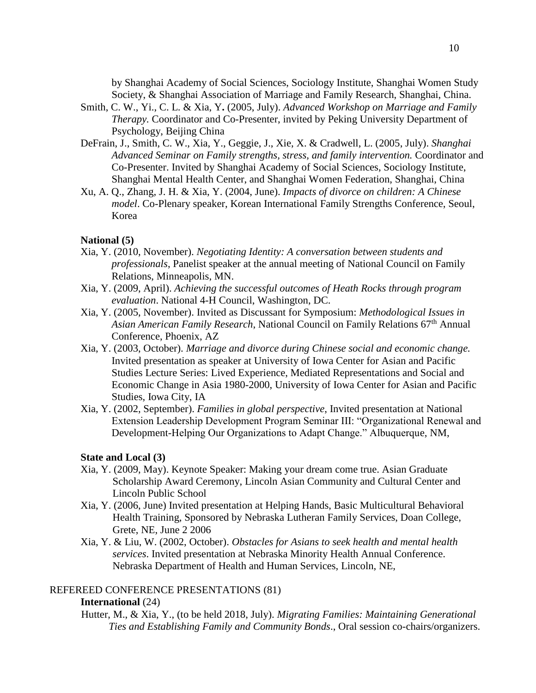by Shanghai Academy of Social Sciences, Sociology Institute, Shanghai Women Study Society, & Shanghai Association of Marriage and Family Research, Shanghai, China.

- Smith, C. W., Yi., C. L. & Xia, Y**.** (2005, July). *Advanced Workshop on Marriage and Family Therapy.* Coordinator and Co-Presenter, invited by Peking University Department of Psychology, Beijing China
- DeFrain, J., Smith, C. W., Xia, Y., Geggie, J., Xie, X. & Cradwell, L. (2005, July). *Shanghai Advanced Seminar on Family strengths, stress, and family intervention.* Coordinator and Co-Presenter. Invited by Shanghai Academy of Social Sciences, Sociology Institute, Shanghai Mental Health Center, and Shanghai Women Federation, Shanghai, China
- Xu, A. Q., Zhang, J. H. & Xia, Y. (2004, June). *Impacts of divorce on children: A Chinese model*. Co-Plenary speaker, Korean International Family Strengths Conference, Seoul, Korea

## **National (5)**

- Xia, Y. (2010, November). *Negotiating Identity: A conversation between students and professionals*, Panelist speaker at the annual meeting of National Council on Family Relations, Minneapolis, MN.
- Xia, Y. (2009, April). *Achieving the successful outcomes of Heath Rocks through program evaluation*. National 4-H Council, Washington, DC.
- Xia, Y. (2005, November). Invited as Discussant for Symposium: *Methodological Issues in Asian American Family Research*, National Council on Family Relations 67th Annual Conference, Phoenix, AZ
- Xia, Y. (2003, October). *Marriage and divorce during Chinese social and economic change.*  Invited presentation as speaker at University of Iowa Center for Asian and Pacific Studies Lecture Series: Lived Experience, Mediated Representations and Social and Economic Change in Asia 1980-2000, University of Iowa Center for Asian and Pacific Studies, Iowa City, IA
- Xia, Y. (2002, September). *Families in global perspective*, Invited presentation at National Extension Leadership Development Program Seminar III: "Organizational Renewal and Development-Helping Our Organizations to Adapt Change." Albuquerque, NM,

## **State and Local (3)**

- Xia, Y. (2009, May). Keynote Speaker: Making your dream come true. Asian Graduate Scholarship Award Ceremony, Lincoln Asian Community and Cultural Center and Lincoln Public School
- Xia, Y. (2006, June) Invited presentation at Helping Hands, Basic Multicultural Behavioral Health Training, Sponsored by Nebraska Lutheran Family Services, Doan College, Grete, NE, June 2 2006
- Xia, Y. & Liu, W. (2002, October). *Obstacles for Asians to seek health and mental health services*. Invited presentation at Nebraska Minority Health Annual Conference. Nebraska Department of Health and Human Services, Lincoln, NE,

## REFEREED CONFERENCE PRESENTATIONS (81)

## **International** (24)

Hutter, M., & Xia, Y., (to be held 2018, July). *Migrating Families: Maintaining Generational Ties and Establishing Family and Community Bonds*., Oral session co-chairs/organizers.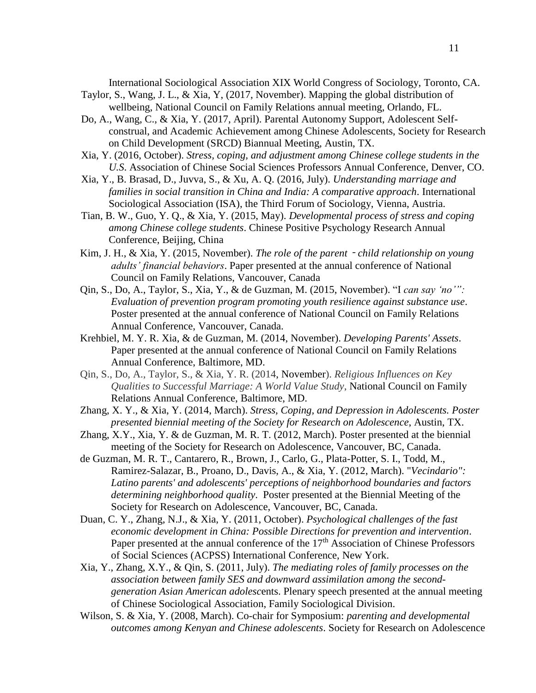International Sociological Association XIX World Congress of Sociology, Toronto, CA.

- Taylor, S., Wang, J. L., & Xia, Y, (2017, November). Mapping the global distribution of wellbeing, National Council on Family Relations annual meeting, Orlando, FL.
- Do, A., Wang, C., & Xia, Y. (2017, April). Parental Autonomy Support, Adolescent Selfconstrual, and Academic Achievement among Chinese Adolescents, Society for Research on Child Development (SRCD) Biannual Meeting, Austin, TX.
- Xia, Y. (2016, October). *Stress, coping, and adjustment among Chinese college students in the U.S*. Association of Chinese Social Sciences Professors Annual Conference, Denver, CO.
- Xia, Y., B. Brasad, D., Juvva, S., & Xu, A. Q. (2016, July). *Understanding marriage and families in social transition in China and India: A comparative approach*. International Sociological Association (ISA), the Third Forum of Sociology, Vienna, Austria.
- Tian, B. W., Guo, Y. Q., & Xia, Y. (2015, May). *Developmental process of stress and coping among Chinese college students*. Chinese Positive Psychology Research Annual Conference, Beijing, China
- Kim, J. H., & Xia, Y. (2015, November). *The role of the parent*‐*child relationship on young adults' financial behaviors*. Paper presented at the annual conference of National Council on Family Relations, Vancouver, Canada
- Qin, S., Do, A., Taylor, S., Xia, Y., & de Guzman, M. (2015, November). "I *can say 'no'": Evaluation of prevention program promoting youth resilience against substance use*. Poster presented at the annual conference of National Council on Family Relations Annual Conference, Vancouver, Canada.
- Krehbiel, M. Y. R. Xia, & de Guzman, M. (2014, November). *Developing Parents' Assets*. Paper presented at the annual conference of National Council on Family Relations Annual Conference, Baltimore, MD.
- Qin, S., Do, A., Taylor, S., & Xia, Y. R. (2014, November). *Religious Influences on Key Qualities to Successful Marriage: A World Value Study*, National Council on Family Relations Annual Conference, Baltimore, MD.
- Zhang, X. Y., & Xia, Y. (2014, March). *Stress, Coping, and Depression in Adolescents. Poster presented biennial meeting of the Society for Research on Adolescence*, Austin, TX.
- Zhang, X.Y., Xia, Y. & de Guzman, M. R. T. (2012, March). Poster presented at the biennial meeting of the Society for Research on Adolescence, Vancouver, BC, Canada.
- de Guzman, M. R. T., Cantarero, R., Brown, J., Carlo, G., Plata-Potter, S. I., Todd, M., Ramirez-Salazar, B., Proano, D., Davis, A., & Xia, Y. (2012, March). "*Vecindario": Latino parents' and adolescents' perceptions of neighborhood boundaries and factors determining neighborhood quality*. Poster presented at the Biennial Meeting of the Society for Research on Adolescence, Vancouver, BC, Canada.
- Duan, C. Y., Zhang, N.J., & Xia, Y. (2011, October). *Psychological challenges of the fast economic development in China: Possible Directions for prevention and intervention*. Paper presented at the annual conference of the  $17<sup>th</sup>$  Association of Chinese Professors of Social Sciences (ACPSS) International Conference, New York.
- Xia, Y., Zhang, X.Y., & Qin, S. (2011, July). *The mediating roles of family processes on the association between family SES and downward assimilation among the secondgeneration Asian American adolesc*ents. Plenary speech presented at the annual meeting of Chinese Sociological Association, Family Sociological Division.
- Wilson, S. & Xia, Y. (2008, March). Co-chair for Symposium: *parenting and developmental outcomes among Kenyan and Chinese adolescents*. Society for Research on Adolescence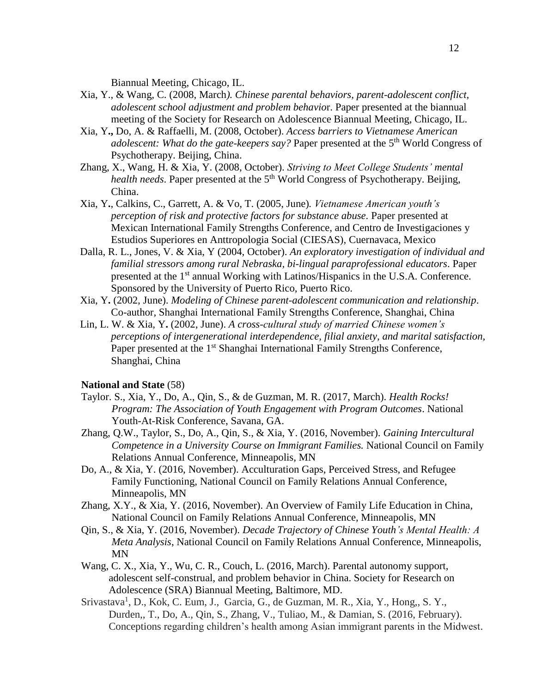Biannual Meeting, Chicago, IL.

- Xia, Y., & Wang, C. (2008, March*). Chinese parental behaviors, parent-adolescent conflict, adolescent school adjustment and problem behavio*r. Paper presented at the biannual meeting of the Society for Research on Adolescence Biannual Meeting, Chicago, IL.
- Xia, Y**.,** Do, A. & Raffaelli, M. (2008, October). *Access barriers to Vietnamese American*  adolescent: What do the gate-keepers say? Paper presented at the 5<sup>th</sup> World Congress of Psychotherapy. Beijing, China.
- Zhang, X., Wang, H. & Xia, Y. (2008, October). *Striving to Meet College Students' mental*  health needs. Paper presented at the 5<sup>th</sup> World Congress of Psychotherapy. Beijing, China.
- Xia, Y**.**, Calkins, C., Garrett, A. & Vo, T. (2005, June)*. Vietnamese American youth's perception of risk and protective factors for substance abuse.* Paper presented at Mexican International Family Strengths Conference, and Centro de Investigaciones y Estudios Superiores en Anttropologia Social (CIESAS), Cuernavaca, Mexico
- Dalla, R. L., Jones, V. & Xia, Y (2004, October). *An exploratory investigation of individual and familial stressors among rural Nebraska, bi-lingual paraprofessional educators*. Paper presented at the 1<sup>st</sup> annual Working with Latinos/Hispanics in the U.S.A. Conference. Sponsored by the University of Puerto Rico, Puerto Rico.
- Xia, Y**.** (2002, June). *Modeling of Chinese parent-adolescent communication and relationship*. Co-author, Shanghai International Family Strengths Conference, Shanghai, China
- Lin, L. W. & Xia, Y**.** (2002, June). *A cross-cultural study of married Chinese women's perceptions of intergenerational interdependence, filial anxiety, and marital satisfaction,*  Paper presented at the 1<sup>st</sup> Shanghai International Family Strengths Conference, Shanghai, China

#### **National and State** (58)

- Taylor. S., Xia, Y., Do, A., Qin, S., & de Guzman, M. R. (2017, March). *Health Rocks! Program: The Association of Youth Engagement with Program Outcomes*. National Youth-At-Risk Conference, Savana, GA.
- Zhang, Q.W., Taylor, S., Do, A., Qin, S., & Xia, Y. (2016, November). *Gaining Intercultural Competence in a University Course on Immigrant Families.* National Council on Family Relations Annual Conference, Minneapolis, MN
- Do, A., & Xia, Y. (2016, November). Acculturation Gaps, Perceived Stress, and Refugee Family Functioning, National Council on Family Relations Annual Conference, Minneapolis, MN
- Zhang, X.Y., & Xia, Y. (2016, November). An Overview of Family Life Education in China, National Council on Family Relations Annual Conference, Minneapolis, MN
- Qin, S., & Xia, Y. (2016, November). *Decade Trajectory of Chinese Youth's Mental Health: A Meta Analysis*, National Council on Family Relations Annual Conference, Minneapolis, MN
- Wang, C. X., Xia, Y., Wu, C. R., Couch, L. (2016, March). Parental autonomy support, adolescent self-construal, and problem behavior in China. Society for Research on Adolescence (SRA) Biannual Meeting, Baltimore, MD.
- Srivastava<sup>1</sup>, D., Kok, C. Eum, J., Garcia, G., de Guzman, M. R., Xia, Y., Hong,, S. Y., Durden,, T., Do, A., Qin, S., Zhang, V., Tuliao, M., & Damian, S. (2016, February). Conceptions regarding children's health among Asian immigrant parents in the Midwest.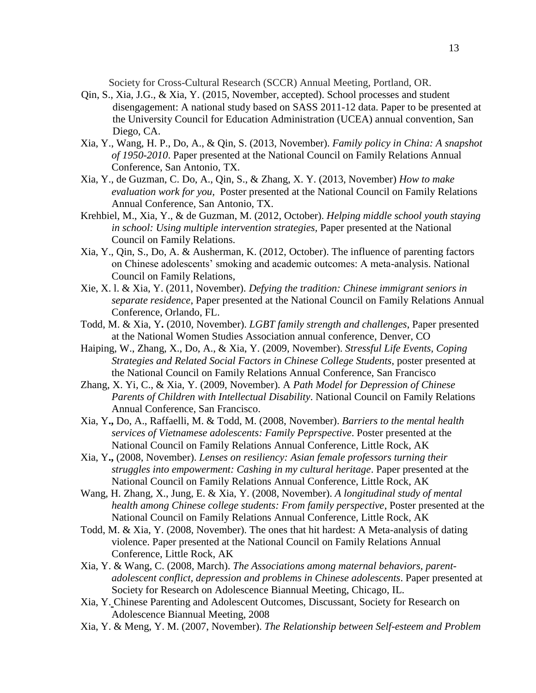Society for Cross-Cultural Research (SCCR) Annual Meeting, Portland, OR.

- Qin, S., Xia, J.G., & Xia, Y. (2015, November, accepted). School processes and student disengagement: A national study based on SASS 2011-12 data. Paper to be presented at the University Council for Education Administration (UCEA) annual convention, San Diego, CA.
- Xia, Y., Wang, H. P., Do, A., & Qin, S. (2013, November). *Family policy in China: A snapshot of 1950-2010*. Paper presented at the National Council on Family Relations Annual Conference, San Antonio, TX.
- Xia, Y., de Guzman, C. Do, A., Qin, S., & Zhang, X. Y. (2013, November) *How to make evaluation work for you,* Poster presented at the National Council on Family Relations Annual Conference, San Antonio, TX.
- Krehbiel, M., Xia, Y., & de Guzman, M. (2012, October). *Helping middle school youth staying in school: Using multiple intervention strategies,* Paper presented at the National Council on Family Relations.
- Xia, Y., Qin, S., Do, A. & Ausherman, K. (2012, October). The influence of parenting factors on Chinese adolescents' smoking and academic outcomes: A meta-analysis. National Council on Family Relations,
- Xie, X. l. & Xia, Y. (2011, November). *Defying the tradition: Chinese immigrant seniors in separate residence*, Paper presented at the National Council on Family Relations Annual Conference, Orlando, FL.
- Todd, M. & Xia, Y**.** (2010, November). *LGBT family strength and challenges*, Paper presented at the National Women Studies Association annual conference, Denver, CO
- Haiping, W., Zhang, X., Do, A., & Xia, Y. (2009, November). *Stressful Life Events, Coping Strategies and Related Social Factors in Chinese College Students*, poster presented at the National Council on Family Relations Annual Conference, San Francisco
- Zhang, X. Yi, C., & Xia, Y. (2009, November). A *Path Model for Depression of Chinese Parents of Children with Intellectual Disability*. National Council on Family Relations Annual Conference, San Francisco.
- Xia, Y**.,** Do, A., Raffaelli, M. & Todd, M. (2008, November). *Barriers to the mental health services of Vietnamese adolescents: Family Peprspective*. Poster presented at the National Council on Family Relations Annual Conference, Little Rock, AK
- Xia, Y**.,** (2008, November). *Lenses on resiliency: Asian female professors turning their struggles into empowerment: Cashing in my cultural heritage*. Paper presented at the National Council on Family Relations Annual Conference, Little Rock, AK
- Wang, H. Zhang, X., Jung, E. & Xia, Y. (2008, November). *A longitudinal study of mental health among Chinese college students: From family perspective*, Poster presented at the National Council on Family Relations Annual Conference, Little Rock, AK
- Todd, M. & Xia, Y. (2008, November). The ones that hit hardest: A Meta-analysis of dating violence. Paper presented at the National Council on Family Relations Annual Conference, Little Rock, AK
- Xia, Y. & Wang, C. (2008, March). *The Associations among maternal behaviors, parentadolescent conflict, depression and problems in Chinese adolescents*. Paper presented at Society for Research on Adolescence Biannual Meeting, Chicago, IL.
- Xia, Y. Chinese Parenting and Adolescent Outcomes, Discussant, Society for Research on Adolescence Biannual Meeting, 2008
- Xia, Y. & Meng, Y. M. (2007, November). *The Relationship between Self-esteem and Problem*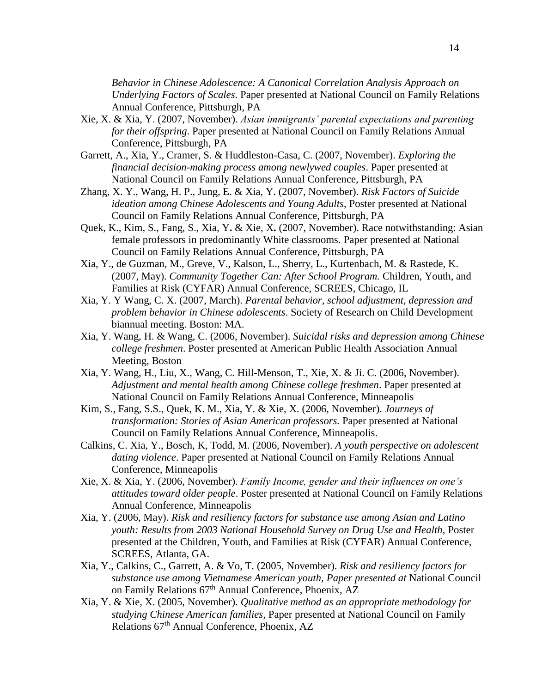*Behavior in Chinese Adolescence: A Canonical Correlation Analysis Approach on Underlying Factors of Scales*. Paper presented at National Council on Family Relations Annual Conference, Pittsburgh, PA

- Xie, X. & Xia, Y. (2007, November). *Asian immigrants' parental expectations and parenting for their offspring*. Paper presented at National Council on Family Relations Annual Conference, Pittsburgh, PA
- Garrett, A., Xia, Y., Cramer, S. & Huddleston-Casa, C. (2007, November). *Exploring the financial decision-making process among newlywed couples*. Paper presented at National Council on Family Relations Annual Conference, Pittsburgh, PA
- Zhang, X. Y., Wang, H. P., Jung, E. & Xia, Y. (2007, November). *Risk Factors of Suicide ideation among Chinese Adolescents and Young Adults*, Poster presented at National Council on Family Relations Annual Conference, Pittsburgh, PA
- Quek, K., Kim, S., Fang, S., Xia, Y**.** & Xie, X**.** (2007, November). Race notwithstanding: Asian female professors in predominantly White classrooms. Paper presented at National Council on Family Relations Annual Conference, Pittsburgh, PA
- Xia, Y., de Guzman, M., Greve, V., Kalson, L., Sherry, L., Kurtenbach, M. & Rastede, K. (2007, May). *Community Together Can: After School Program.* Children, Youth, and Families at Risk (CYFAR) Annual Conference, SCREES, Chicago, IL
- Xia, Y. Y Wang, C. X. (2007, March). *Parental behavior, school adjustment, depression and problem behavior in Chinese adolescents*. Society of Research on Child Development biannual meeting. Boston: MA.
- Xia, Y. Wang, H. & Wang, C. (2006, November). *Suicidal risks and depression among Chinese college freshmen*. Poster presented at American Public Health Association Annual Meeting, Boston
- Xia, Y. Wang, H., Liu, X., Wang, C. Hill-Menson, T., Xie, X. & Ji. C. (2006, November). *Adjustment and mental health among Chinese college freshmen*. Paper presented at National Council on Family Relations Annual Conference, Minneapolis
- Kim, S., Fang, S.S., Quek, K. M., Xia, Y. & Xie, X. (2006, November). *Journeys of transformation: Stories of Asian American professors.* Paper presented at National Council on Family Relations Annual Conference, Minneapolis.
- Calkins, C. Xia, Y., Bosch, K, Todd, M. (2006, November). *A youth perspective on adolescent dating violence*. Paper presented at National Council on Family Relations Annual Conference, Minneapolis
- Xie, X. & Xia, Y. (2006, November). *Family Income, gender and their influences on one's attitudes toward older people*. Poster presented at National Council on Family Relations Annual Conference, Minneapolis
- Xia, Y. (2006, May). *Risk and resiliency factors for substance use among Asian and Latino youth: Results from 2003 National Household Survey on Drug Use and Health,* Poster presented at the Children, Youth, and Families at Risk (CYFAR) Annual Conference, SCREES, Atlanta, GA.
- Xia, Y., Calkins, C., Garrett, A. & Vo, T. (2005, November). *Risk and resiliency factors for substance use among Vietnamese American youth, Paper presented at* National Council on Family Relations 67<sup>th</sup> Annual Conference, Phoenix, AZ
- Xia, Y. & Xie, X. (2005, November). *Qualitative method as an appropriate methodology for studying Chinese American families,* Paper presented at National Council on Family Relations 67<sup>th</sup> Annual Conference, Phoenix, AZ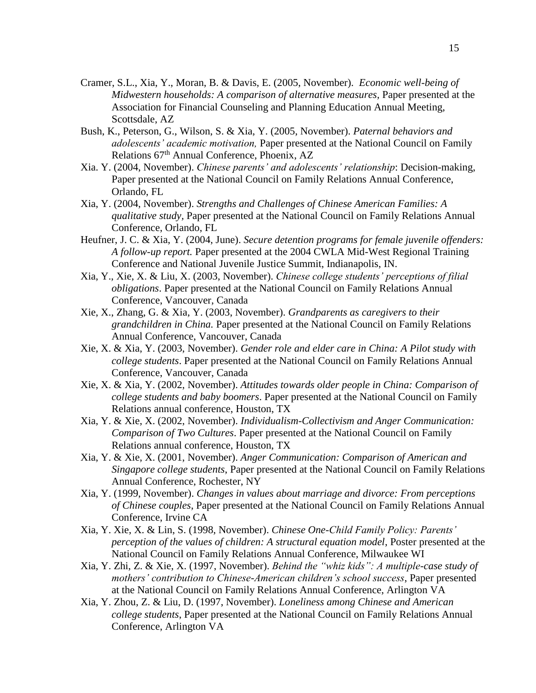- Cramer, S.L., Xia, Y., Moran, B. & Davis, E. (2005, November). *Economic well-being of Midwestern households: A comparison of alternative measures,* Paper presented at the Association for Financial Counseling and Planning Education Annual Meeting, Scottsdale, AZ
- Bush, K., Peterson, G., Wilson, S. & Xia, Y. (2005, November). *Paternal behaviors and adolescents' academic motivation,* Paper presented at the National Council on Family Relations 67th Annual Conference, Phoenix, AZ
- Xia. Y. (2004, November). *Chinese parents' and adolescents' relationship*: Decision-making, Paper presented at the National Council on Family Relations Annual Conference, Orlando, FL
- Xia, Y. (2004, November). *Strengths and Challenges of Chinese American Families: A qualitative study,* Paper presented at the National Council on Family Relations Annual Conference, Orlando, FL
- Heufner, J. C. & Xia, Y. (2004, June). *Secure detention programs for female juvenile offenders: A follow-up report.* Paper presented at the 2004 CWLA Mid-West Regional Training Conference and National Juvenile Justice Summit, Indianapolis, IN.
- Xia, Y., Xie, X. & Liu, X. (2003, November). *Chinese college students' perceptions of filial obligations*. Paper presented at the National Council on Family Relations Annual Conference, Vancouver, Canada
- Xie, X., Zhang, G. & Xia, Y. (2003, November). *Grandparents as caregivers to their grandchildren in China.* Paper presented at the National Council on Family Relations Annual Conference, Vancouver, Canada
- Xie, X. & Xia, Y. (2003, November). *Gender role and elder care in China: A Pilot study with college students*. Paper presented at the National Council on Family Relations Annual Conference, Vancouver, Canada
- Xie, X. & Xia, Y. (2002, November). *Attitudes towards older people in China: Comparison of college students and baby boomers*. Paper presented at the National Council on Family Relations annual conference, Houston, TX
- Xia, Y. & Xie, X. (2002, November). *Individualism-Collectivism and Anger Communication: Comparison of Two Cultures*. Paper presented at the National Council on Family Relations annual conference, Houston, TX
- Xia, Y. & Xie, X. (2001, November). *Anger Communication: Comparison of American and Singapore college students*, Paper presented at the National Council on Family Relations Annual Conference, Rochester, NY
- Xia, Y. (1999, November). *Changes in values about marriage and divorce: From perceptions of Chinese couples*, Paper presented at the National Council on Family Relations Annual Conference, Irvine CA
- Xia, Y. Xie, X. & Lin, S. (1998, November). *Chinese One-Child Family Policy: Parents' perception of the values of children: A structural equation model*, Poster presented at the National Council on Family Relations Annual Conference, Milwaukee WI
- Xia, Y. Zhi, Z. & Xie, X. (1997, November). *Behind the "whiz kids": A multiple-case study of mothers' contribution to Chinese-American children's school success*, Paper presented at the National Council on Family Relations Annual Conference, Arlington VA
- Xia, Y. Zhou, Z. & Liu, D. (1997, November). *Loneliness among Chinese and American college students*, Paper presented at the National Council on Family Relations Annual Conference, Arlington VA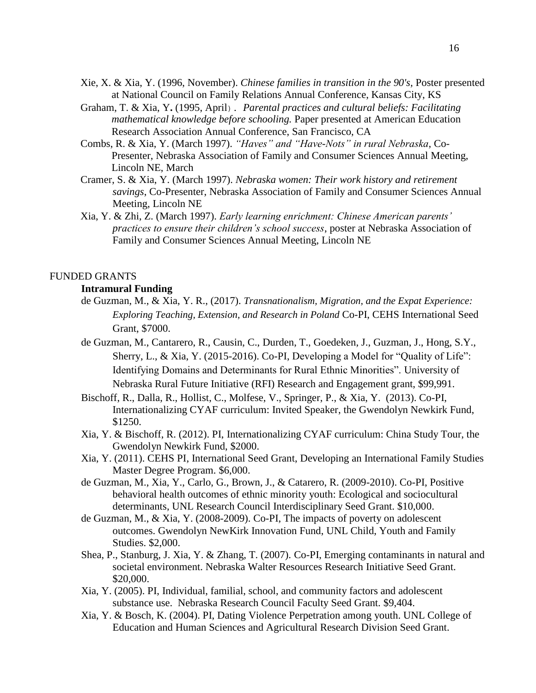- Xie, X. & Xia, Y. (1996, November). *Chinese families in transition in the 90's,* Poster presented at National Council on Family Relations Annual Conference, Kansas City, KS
- Graham, T. & Xia, Y**.** (1995, April). *Parental practices and cultural beliefs: Facilitating mathematical knowledge before schooling.* Paper presented at American Education Research Association Annual Conference, San Francisco, CA
- Combs, R. & Xia, Y. (March 1997). *"Haves" and "Have-Nots" in rural Nebraska*, Co-Presenter, Nebraska Association of Family and Consumer Sciences Annual Meeting, Lincoln NE, March
- Cramer, S. & Xia, Y. (March 1997). *Nebraska women: Their work history and retirement savings*, Co-Presenter, Nebraska Association of Family and Consumer Sciences Annual Meeting, Lincoln NE
- Xia, Y. & Zhi, Z. (March 1997). *Early learning enrichment: Chinese American parents' practices to ensure their children's school success*, poster at Nebraska Association of Family and Consumer Sciences Annual Meeting, Lincoln NE

## FUNDED GRANTS

## **Intramural Funding**

- de Guzman, M., & Xia, Y. R., (2017). *Transnationalism, Migration, and the Expat Experience: Exploring Teaching, Extension, and Research in Poland* Co-PI, CEHS International Seed Grant, \$7000.
- de Guzman, M., Cantarero, R., Causin, C., Durden, T., Goedeken, J., Guzman, J., Hong, S.Y., Sherry, L., & Xia, Y. (2015-2016). Co-PI, Developing a Model for "Quality of Life": Identifying Domains and Determinants for Rural Ethnic Minorities". University of Nebraska Rural Future Initiative (RFI) Research and Engagement grant, \$99,991.
- Bischoff, R., Dalla, R., Hollist, C., Molfese, V., Springer, P., & Xia, Y. (2013). Co-PI, Internationalizing CYAF curriculum: Invited Speaker, the Gwendolyn Newkirk Fund, \$1250.
- Xia, Y. & Bischoff, R. (2012). PI, Internationalizing CYAF curriculum: China Study Tour, the Gwendolyn Newkirk Fund, \$2000.
- Xia, Y. (2011). CEHS PI, International Seed Grant, Developing an International Family Studies Master Degree Program. \$6,000.
- de Guzman, M., Xia, Y., Carlo, G., Brown, J., & Catarero, R. (2009-2010). Co-PI, Positive behavioral health outcomes of ethnic minority youth: Ecological and sociocultural determinants, UNL Research Council Interdisciplinary Seed Grant. \$10,000.
- de Guzman, M., & Xia, Y. (2008-2009). Co-PI, The impacts of poverty on adolescent outcomes. Gwendolyn NewKirk Innovation Fund, UNL Child, Youth and Family Studies. \$2,000.
- Shea, P., Stanburg, J. Xia, Y. & Zhang, T. (2007). Co-PI, Emerging contaminants in natural and societal environment. Nebraska Walter Resources Research Initiative Seed Grant. \$20,000.
- Xia, Y. (2005). PI, Individual, familial, school, and community factors and adolescent substance use. Nebraska Research Council Faculty Seed Grant. \$9,404.
- Xia, Y. & Bosch, K. (2004). PI, Dating Violence Perpetration among youth. UNL College of Education and Human Sciences and Agricultural Research Division Seed Grant.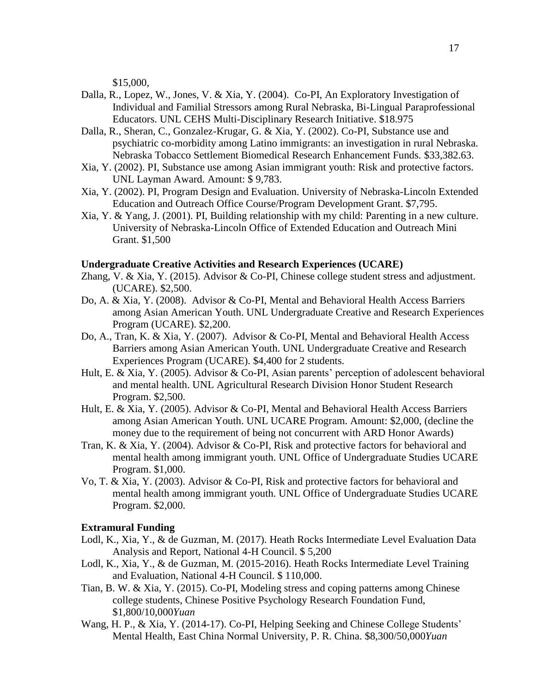\$15,000,

- Dalla, R., Lopez, W., Jones, V. & Xia, Y. (2004). Co-PI, An Exploratory Investigation of Individual and Familial Stressors among Rural Nebraska, Bi-Lingual Paraprofessional Educators. UNL CEHS Multi-Disciplinary Research Initiative. \$18.975
- Dalla, R., Sheran, C., Gonzalez-Krugar, G. & Xia, Y. (2002). Co-PI, Substance use and psychiatric co-morbidity among Latino immigrants: an investigation in rural Nebraska. Nebraska Tobacco Settlement Biomedical Research Enhancement Funds. \$33,382.63.
- Xia, Y. (2002). PI, Substance use among Asian immigrant youth: Risk and protective factors. UNL Layman Award. Amount: \$ 9,783.
- Xia, Y. (2002). PI, Program Design and Evaluation. University of Nebraska-Lincoln Extended Education and Outreach Office Course/Program Development Grant. \$7,795.
- Xia, Y. & Yang, J. (2001). PI, Building relationship with my child: Parenting in a new culture. University of Nebraska-Lincoln Office of Extended Education and Outreach Mini Grant. \$1,500

#### **Undergraduate Creative Activities and Research Experiences (UCARE)**

- Zhang, V. & Xia, Y. (2015). Advisor & Co-PI, Chinese college student stress and adjustment. (UCARE). \$2,500.
- Do, A. & Xia, Y. (2008). Advisor & Co-PI, Mental and Behavioral Health Access Barriers among Asian American Youth. UNL Undergraduate Creative and Research Experiences Program (UCARE). \$2,200.
- Do, A., Tran, K. & Xia, Y. (2007). Advisor & Co-PI, Mental and Behavioral Health Access Barriers among Asian American Youth. UNL Undergraduate Creative and Research Experiences Program (UCARE). \$4,400 for 2 students.
- Hult, E. & Xia, Y. (2005). Advisor & Co-PI, Asian parents' perception of adolescent behavioral and mental health. UNL Agricultural Research Division Honor Student Research Program. \$2,500.
- Hult, E. & Xia, Y. (2005). Advisor & Co-PI, Mental and Behavioral Health Access Barriers among Asian American Youth. UNL UCARE Program. Amount: \$2,000, (decline the money due to the requirement of being not concurrent with ARD Honor Awards)
- Tran, K. & Xia, Y. (2004). Advisor & Co-PI, Risk and protective factors for behavioral and mental health among immigrant youth. UNL Office of Undergraduate Studies UCARE Program. \$1,000.
- Vo, T. & Xia, Y. (2003). Advisor & Co-PI, Risk and protective factors for behavioral and mental health among immigrant youth. UNL Office of Undergraduate Studies UCARE Program. \$2,000.

#### **Extramural Funding**

- Lodl, K., Xia, Y., & de Guzman, M. (2017). Heath Rocks Intermediate Level Evaluation Data Analysis and Report, National 4-H Council. \$ 5,200
- Lodl, K., Xia, Y., & de Guzman, M. (2015-2016). Heath Rocks Intermediate Level Training and Evaluation, National 4-H Council. \$ 110,000.
- Tian, B. W. & Xia, Y. (2015). Co-PI, Modeling stress and coping patterns among Chinese college students, Chinese Positive Psychology Research Foundation Fund, \$1,800/10,000*Yuan*
- Wang, H. P., & Xia, Y. (2014-17). Co-PI, Helping Seeking and Chinese College Students' Mental Health, East China Normal University, P. R. China. \$8,300/50,000*Yuan*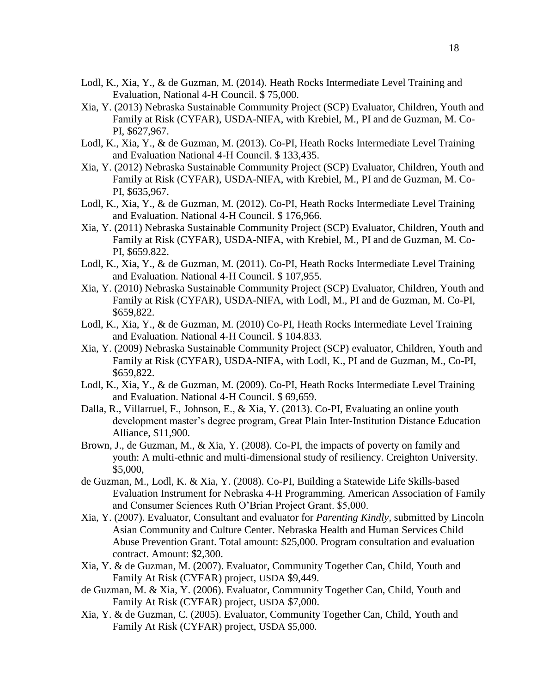- Lodl, K., Xia, Y., & de Guzman, M. (2014). Heath Rocks Intermediate Level Training and Evaluation, National 4-H Council. \$ 75,000.
- Xia, Y. (2013) Nebraska Sustainable Community Project (SCP) Evaluator, Children, Youth and Family at Risk (CYFAR), USDA-NIFA, with Krebiel, M., PI and de Guzman, M. Co-PI, \$627,967.
- Lodl, K., Xia, Y., & de Guzman, M. (2013). Co-PI, Heath Rocks Intermediate Level Training and Evaluation National 4-H Council. \$ 133,435.
- Xia, Y. (2012) Nebraska Sustainable Community Project (SCP) Evaluator, Children, Youth and Family at Risk (CYFAR), USDA-NIFA, with Krebiel, M., PI and de Guzman, M. Co-PI, \$635,967.
- Lodl, K., Xia, Y., & de Guzman, M. (2012). Co-PI, Heath Rocks Intermediate Level Training and Evaluation. National 4-H Council. \$ 176,966.
- Xia, Y. (2011) Nebraska Sustainable Community Project (SCP) Evaluator, Children, Youth and Family at Risk (CYFAR), USDA-NIFA, with Krebiel, M., PI and de Guzman, M. Co-PI, \$659.822.
- Lodl, K., Xia, Y., & de Guzman, M. (2011). Co-PI, Heath Rocks Intermediate Level Training and Evaluation. National 4-H Council. \$ 107,955.
- Xia, Y. (2010) Nebraska Sustainable Community Project (SCP) Evaluator, Children, Youth and Family at Risk (CYFAR), USDA-NIFA, with Lodl, M., PI and de Guzman, M. Co-PI, \$659,822.
- Lodl, K., Xia, Y., & de Guzman, M. (2010) Co-PI, Heath Rocks Intermediate Level Training and Evaluation. National 4-H Council. \$ 104.833.
- Xia, Y. (2009) Nebraska Sustainable Community Project (SCP) evaluator, Children, Youth and Family at Risk (CYFAR), USDA-NIFA, with Lodl, K., PI and de Guzman, M., Co-PI, \$659,822.
- Lodl, K., Xia, Y., & de Guzman, M. (2009). Co-PI, Heath Rocks Intermediate Level Training and Evaluation. National 4-H Council. \$ 69,659.
- Dalla, R., Villarruel, F., Johnson, E., & Xia, Y. (2013). Co-PI, Evaluating an online youth development master's degree program, Great Plain Inter-Institution Distance Education Alliance, \$11,900.
- Brown, J., de Guzman, M., & Xia, Y. (2008). Co-PI, the impacts of poverty on family and youth: A multi-ethnic and multi-dimensional study of resiliency. Creighton University. \$5,000,
- de Guzman, M., Lodl, K. & Xia, Y. (2008). Co-PI, Building a Statewide Life Skills-based Evaluation Instrument for Nebraska 4-H Programming. American Association of Family and Consumer Sciences Ruth O'Brian Project Grant. \$5,000.
- Xia, Y. (2007). Evaluator, Consultant and evaluator for *Parenting Kindly,* submitted by Lincoln Asian Community and Culture Center. Nebraska Health and Human Services Child Abuse Prevention Grant. Total amount: \$25,000. Program consultation and evaluation contract. Amount: \$2,300.
- Xia, Y. & de Guzman, M. (2007). Evaluator, Community Together Can, Child, Youth and Family At Risk (CYFAR) project, USDA \$9,449.
- de Guzman, M. & Xia, Y. (2006). Evaluator, Community Together Can, Child, Youth and Family At Risk (CYFAR) project, USDA \$7,000.
- Xia, Y. & de Guzman, C. (2005). Evaluator, Community Together Can, Child, Youth and Family At Risk (CYFAR) project, USDA \$5,000.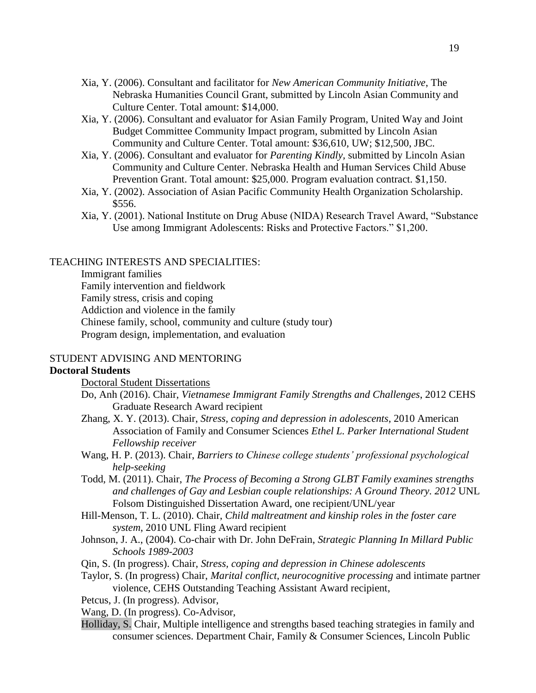- Xia, Y. (2006). Consultant and facilitator for *New American Community Initiative*, The Nebraska Humanities Council Grant, submitted by Lincoln Asian Community and Culture Center. Total amount: \$14,000.
- Xia, Y. (2006). Consultant and evaluator for Asian Family Program, United Way and Joint Budget Committee Community Impact program, submitted by Lincoln Asian Community and Culture Center. Total amount: \$36,610, UW; \$12,500, JBC.
- Xia, Y. (2006). Consultant and evaluator for *Parenting Kindly,* submitted by Lincoln Asian Community and Culture Center. Nebraska Health and Human Services Child Abuse Prevention Grant. Total amount: \$25,000. Program evaluation contract. \$1,150.
- Xia, Y. (2002). Association of Asian Pacific Community Health Organization Scholarship. \$556.
- Xia, Y. (2001). National Institute on Drug Abuse (NIDA) Research Travel Award, "Substance Use among Immigrant Adolescents: Risks and Protective Factors." \$1,200.

### TEACHING INTERESTS AND SPECIALITIES:

Immigrant families Family intervention and fieldwork Family stress, crisis and coping Addiction and violence in the family Chinese family, school, community and culture (study tour) Program design, implementation, and evaluation

## STUDENT ADVISING AND MENTORING

## **Doctoral Students**

Doctoral Student Dissertations

- Do, Anh (2016). Chair, *Vietnamese Immigrant Family Strengths and Challenges*, 2012 CEHS Graduate Research Award recipient
- Zhang, X. Y. (2013). Chair, *Stress, coping and depression in adolescents*, 2010 American Association of Family and Consumer Sciences *Ethel L. Parker International Student Fellowship receiver*
- Wang, H. P. (2013). Chair, *Barriers to Chinese college students' professional psychological help-seeking*
- Todd, M. (2011). Chair, *The Process of Becoming a Strong GLBT Family examines strengths and challenges of Gay and Lesbian couple relationships: A Ground Theory. 2012* UNL Folsom Distinguished Dissertation Award, one recipient/UNL/year
- Hill-Menson, T. L. (2010). Chair, *Child maltreatment and kinship roles in the foster care system*, 2010 UNL Fling Award recipient
- Johnson, J. A., (2004). Co-chair with Dr. John DeFrain, *Strategic Planning In Millard Public Schools 1989-2003*
- Qin, S. (In progress). Chair, *Stress, coping and depression in Chinese adolescents*
- Taylor, S. (In progress) Chair, *Marital conflict, neurocognitive processing* and intimate partner violence, CEHS Outstanding Teaching Assistant Award recipient,
- Petcus, J. (In progress). Advisor,
- Wang, D. (In progress). Co-Advisor,
- Holliday, S. Chair, Multiple intelligence and strengths based teaching strategies in family and consumer sciences. Department Chair, Family & Consumer Sciences, Lincoln Public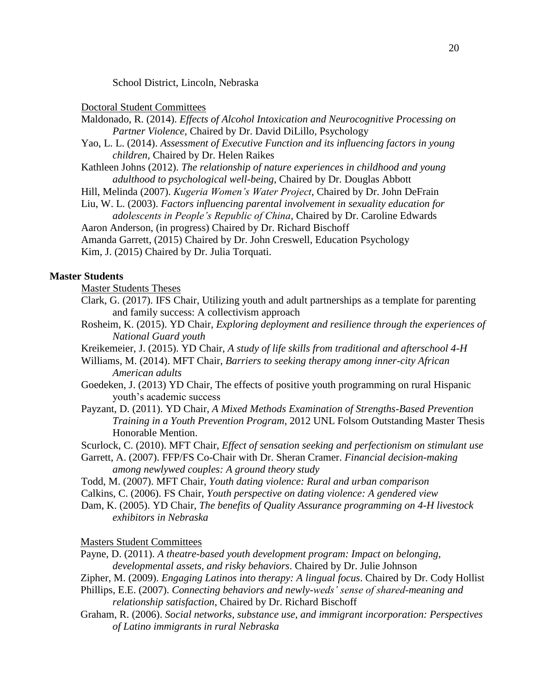School District, Lincoln, Nebraska

Doctoral Student Committees

- Maldonado, R. (2014). *Effects of Alcohol Intoxication and Neurocognitive Processing on Partner Violence*, Chaired by Dr. David DiLillo, Psychology
- Yao, L. L. (2014). *Assessment of Executive Function and its influencing factors in young children,* Chaired by Dr. Helen Raikes
- Kathleen Johns (2012). *The relationship of nature experiences in childhood and young adulthood to psychological well-being*, Chaired by Dr. Douglas Abbott
- Hill, Melinda (2007). *Kugeria Women's Water Project,* Chaired by Dr. John DeFrain
- Liu, W. L. (2003). *Factors influencing parental involvement in sexuality education for adolescents in People's Republic of China*, Chaired by Dr. Caroline Edwards
- Aaron Anderson, (in progress) Chaired by Dr. Richard Bischoff

```
Amanda Garrett, (2015) Chaired by Dr. John Creswell, Education Psychology
Kim, J. (2015) Chaired by Dr. Julia Torquati.
```
## **Master Students**

Master Students Theses

- Clark, G. (2017). IFS Chair, Utilizing youth and adult partnerships as a template for parenting and family success: A collectivism approach
- Rosheim, K. (2015). YD Chair, *Exploring deployment and resilience through the experiences of National Guard youth*

Kreikemeier, J. (2015). YD Chair, *A study of life skills from traditional and afterschool 4-H*

- Williams, M. (2014). MFT Chair, *Barriers to seeking therapy among inner-city African American adults*
- Goedeken, J. (2013) YD Chair, The effects of positive youth programming on rural Hispanic youth's academic success
- Payzant, D. (2011). YD Chair, *A Mixed Methods Examination of Strengths-Based Prevention Training in a Youth Prevention Program,* 2012 UNL Folsom Outstanding Master Thesis Honorable Mention.

Scurlock, C. (2010). MFT Chair, *Effect of sensation seeking and perfectionism on stimulant use*

Garrett, A. (2007). FFP/FS Co-Chair with Dr. Sheran Cramer. *Financial decision-making among newlywed couples: A ground theory study*

- Todd, M. (2007). MFT Chair, *Youth dating violence: Rural and urban comparison*
- Calkins, C. (2006). FS Chair, *Youth perspective on dating violence: A gendered view*
- Dam, K. (2005). YD Chair, *The benefits of Quality Assurance programming on 4-H livestock exhibitors in Nebraska*

### Masters Student Committees

- Payne, D. (2011). *A theatre-based youth development program: Impact on belonging, developmental assets, and risky behaviors*. Chaired by Dr. Julie Johnson
- Zipher, M. (2009). *Engaging Latinos into therapy: A lingual focus*. Chaired by Dr. Cody Hollist
- Phillips, E.E. (2007). *Connecting behaviors and newly-weds' sense of shared-meaning and relationship satisfaction*, Chaired by Dr. Richard Bischoff
- Graham, R. (2006). *Social networks, substance use, and immigrant incorporation: Perspectives of Latino immigrants in rural Nebraska*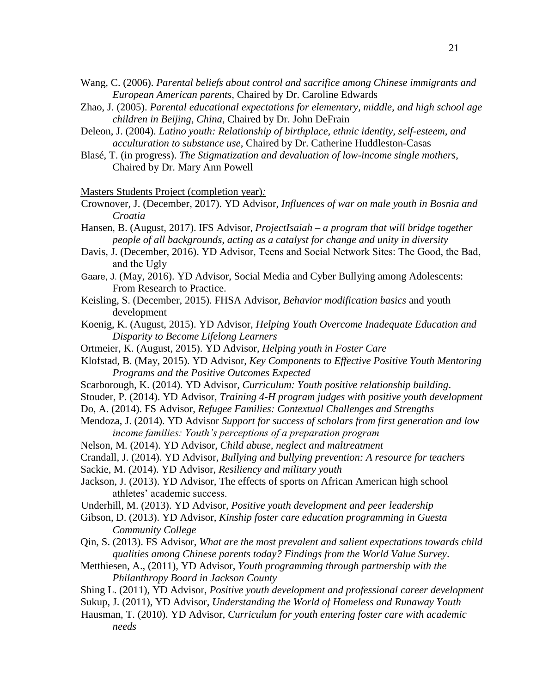- Wang, C. (2006). *Parental beliefs about control and sacrifice among Chinese immigrants and European American parents,* Chaired by Dr. Caroline Edwards
- Zhao, J. (2005). *Parental educational expectations for elementary, middle, and high school age children in Beijing, China,* Chaired by Dr. John DeFrain
- Deleon, J. (2004). *Latino youth: Relationship of birthplace, ethnic identity, self-esteem, and acculturation to substance use*, Chaired by Dr. Catherine Huddleston-Casas
- Blasé, T. (in progress). *The Stigmatization and devaluation of low-income single mothers*, Chaired by Dr. Mary Ann Powell

Masters Students Project (completion year)*:*

Crownover, J. (December, 2017). YD Advisor, *Influences of war on male youth in Bosnia and Croatia*

Hansen, B. (August, 2017). IFS Advisor, *ProjectIsaiah – a program that will bridge together people of all backgrounds, acting as a catalyst for change and unity in diversity*

- Davis, J. (December, 2016). YD Advisor, Teens and Social Network Sites: The Good, the Bad, and the Ugly
- Gaare, J. (May, 2016). YD Advisor, Social Media and Cyber Bullying among Adolescents: From Research to Practice.
- Keisling, S. (December, 2015). FHSA Advisor, *Behavior modification basics* and youth development
- Koenig, K. (August, 2015). YD Advisor, *Helping Youth Overcome Inadequate Education and Disparity to Become Lifelong Learners*
- Ortmeier, K. (August, 2015). YD Advisor, *Helping youth in Foster Care*

Klofstad, B. (May, 2015). YD Advisor, *Key Components to Effective Positive Youth Mentoring Programs and the Positive Outcomes Expected*

- Scarborough, K. (2014). YD Advisor, *Curriculum: Youth positive relationship building*.
- Stouder, P. (2014). YD Advisor, *Training 4-H program judges with positive youth development*
- Do, A. (2014). FS Advisor, *Refugee Families: Contextual Challenges and Strengths*
- Mendoza, J. (2014). YD Advisor *Support for success of scholars from first generation and low income families: Youth's perceptions of a preparation program*
- Nelson, M. (2014). YD Advisor, *Child abuse, neglect and maltreatment*
- Crandall, J. (2014). YD Advisor, *Bullying and bullying prevention: A resource for teachers*
- Sackie, M. (2014). YD Advisor, *Resiliency and military youth*
- Jackson, J. (2013). YD Advisor, The effects of sports on African American high school athletes' academic success.
- Underhill, M. (2013). YD Advisor, *Positive youth development and peer leadership*
- Gibson, D. (2013). YD Advisor, *Kinship foster care education programming in Guesta Community College*
- Qin, S. (2013). FS Advisor, *What are the most prevalent and salient expectations towards child qualities among Chinese parents today? Findings from the World Value Survey*.
- Metthiesen, A., (2011), YD Advisor, *Youth programming through partnership with the Philanthropy Board in Jackson County*
- Shing L. (2011), YD Advisor, *Positive youth development and professional career development*
- Sukup, J. (2011), YD Advisor, *Understanding the World of Homeless and Runaway Youth*
- Hausman, T. (2010). YD Advisor, *Curriculum for youth entering foster care with academic needs*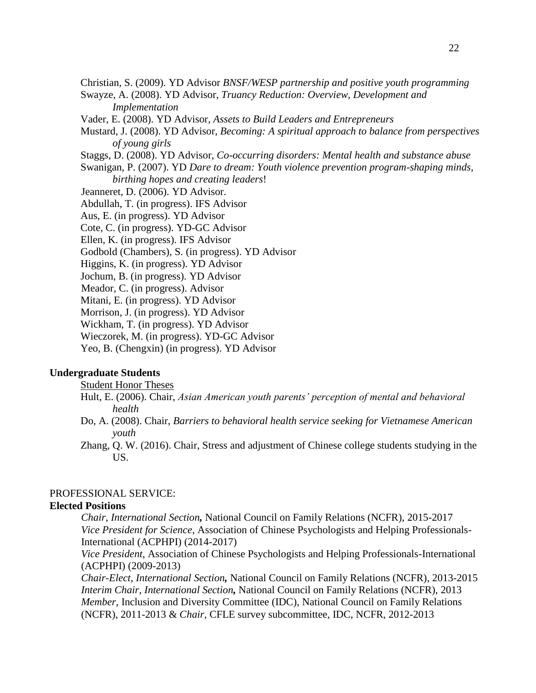Christian, S. (2009). YD Advisor *BNSF/WESP partnership and positive youth programming* Swayze, A. (2008). YD Advisor, *Truancy Reduction: Overview, Development and* 

*Implementation*

Vader, E. (2008). YD Advisor, *Assets to Build Leaders and Entrepreneurs*

Mustard, J. (2008). YD Advisor, *Becoming: A spiritual approach to balance from perspectives of young girls*

Staggs, D. (2008). YD Advisor, *Co-occurring disorders: Mental health and substance abuse*

Swanigan, P. (2007). YD *Dare to dream: Youth violence prevention program-shaping minds, birthing hopes and creating leaders*!

Jeanneret, D. (2006). YD Advisor.

Abdullah, T. (in progress). IFS Advisor

Aus, E. (in progress). YD Advisor

Cote, C. (in progress). YD-GC Advisor

Ellen, K. (in progress). IFS Advisor

Godbold (Chambers), S. (in progress). YD Advisor

Higgins, K. (in progress). YD Advisor

Jochum, B. (in progress). YD Advisor

Meador, C. (in progress). Advisor

Mitani, E. (in progress). YD Advisor

Morrison, J. (in progress). YD Advisor

Wickham, T. (in progress). YD Advisor

Wieczorek, M. (in progress). YD-GC Advisor

Yeo, B. (Chengxin) (in progress). YD Advisor

## **Undergraduate Students**

Student Honor Theses

- Hult, E. (2006). Chair, *Asian American youth parents' perception of mental and behavioral health*
- Do, A. (2008). Chair, *Barriers to behavioral health service seeking for Vietnamese American youth*
- Zhang, Q. W. (2016). Chair, Stress and adjustment of Chinese college students studying in the US.

## PROFESSIONAL SERVICE:

## **Elected Positions**

*Chair*, *International Section,* National Council on Family Relations (NCFR), 2015-2017 *Vice President for Science*, Association of Chinese Psychologists and Helping Professionals-International (ACPHPI) (2014-2017)

*Vice President*, Association of Chinese Psychologists and Helping Professionals-International (ACPHPI) (2009-2013)

*Chair-Elect*, *International Section,* National Council on Family Relations (NCFR), 2013-2015 *Interim Chair, International Section,* National Council on Family Relations (NCFR), 2013 *Member, Inclusion and Diversity Committee (IDC), National Council on Family Relations* (NCFR), 2011-2013 & *Chair,* CFLE survey subcommittee, IDC, NCFR, 2012-2013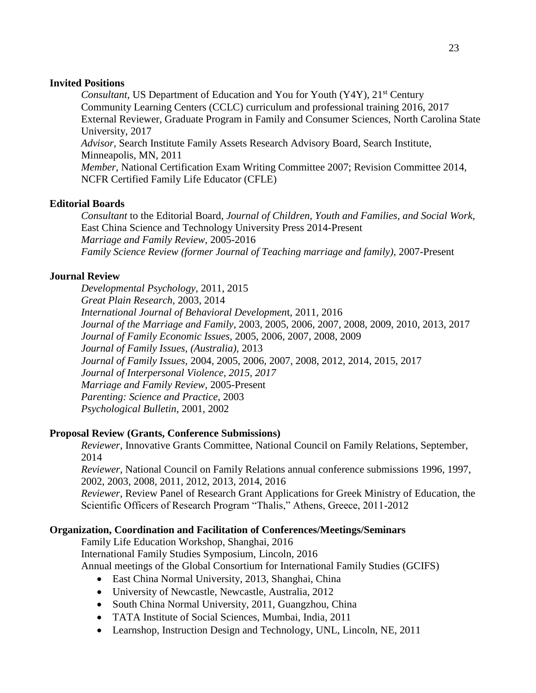## **Invited Positions**

*Consultant, US Department of Education and You for Youth (Y4Y), 21<sup>st</sup> Century* Community Learning Centers (CCLC) curriculum and professional training 2016, 2017 External Reviewer, Graduate Program in Family and Consumer Sciences, North Carolina State University, 2017 *Advisor,* Search Institute Family Assets Research Advisory Board, Search Institute, Minneapolis, MN, 2011 *Member*, National Certification Exam Writing Committee 2007; Revision Committee 2014, NCFR Certified Family Life Educator (CFLE)

## **Editorial Boards**

*Consultant* to the Editorial Board, *Journal of Children, Youth and Families, and Social Work,*  East China Science and Technology University Press 2014-Present *Marriage and Family Review,* 2005-2016 *Family Science Review (former Journal of Teaching marriage and family)*, 2007-Present

## **Journal Review**

*Developmental Psychology,* 2011, 2015 *Great Plain Research,* 2003, 2014 *International Journal of Behavioral Developmen*t, 2011, 2016 *Journal of the Marriage and Family*, 2003, 2005, 2006, 2007, 2008, 2009, 2010, 2013, 2017 *Journal of Family Economic Issues,* 2005, 2006, 2007, 2008, 2009 *Journal of Family Issues, (Australia),* 2013 *Journal of Family Issues,* 2004, 2005, 2006, 2007, 2008, 2012, 2014, 2015, 2017 *Journal of Interpersonal Violence, 2015, 2017 Marriage and Family Review,* 2005-Present *Parenting: Science and Practice*, 2003 *Psychological Bulletin*, 2001, 2002

## **Proposal Review (Grants, Conference Submissions)**

*Reviewer*, Innovative Grants Committee, National Council on Family Relations, September, 2014

*Reviewer,* National Council on Family Relations annual conference submissions 1996, 1997, 2002, 2003, 2008, 2011, 2012, 2013, 2014, 2016

*Reviewer*, Review Panel of Research Grant Applications for Greek Ministry of Education, the Scientific Officers of Research Program "Thalis," Athens, Greece, 2011-2012

## **Organization, Coordination and Facilitation of Conferences/Meetings/Seminars**

Family Life Education Workshop, Shanghai, 2016 International Family Studies Symposium, Lincoln, 2016 Annual meetings of the Global Consortium for International Family Studies (GCIFS)

- East China Normal University, 2013, Shanghai, China
- University of Newcastle, Newcastle, Australia, 2012
- South China Normal University, 2011, Guangzhou, China
- TATA Institute of Social Sciences, Mumbai, India, 2011
- Learnshop, Instruction Design and Technology, UNL, Lincoln, NE, 2011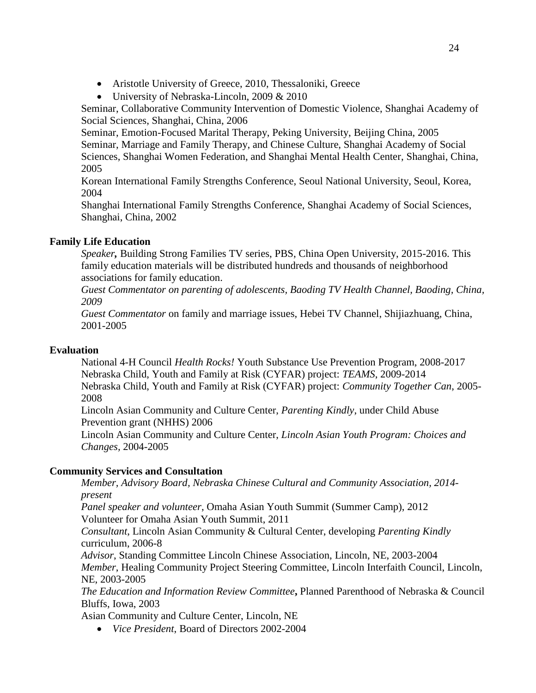- Aristotle University of Greece, 2010, Thessaloniki, Greece
- University of Nebraska-Lincoln, 2009 & 2010

Seminar, Collaborative Community Intervention of Domestic Violence, Shanghai Academy of Social Sciences, Shanghai, China, 2006

Seminar, Emotion-Focused Marital Therapy, Peking University, Beijing China, 2005 Seminar, Marriage and Family Therapy, and Chinese Culture, Shanghai Academy of Social Sciences, Shanghai Women Federation, and Shanghai Mental Health Center, Shanghai, China, 2005

Korean International Family Strengths Conference, Seoul National University, Seoul, Korea, 2004

Shanghai International Family Strengths Conference, Shanghai Academy of Social Sciences, Shanghai, China, 2002

# **Family Life Education**

*Speaker,* Building Strong Families TV series, PBS, China Open University, 2015-2016. This family education materials will be distributed hundreds and thousands of neighborhood associations for family education.

*Guest Commentator on parenting of adolescents, Baoding TV Health Channel, Baoding, China, 2009* 

*Guest Commentator* on family and marriage issues, Hebei TV Channel, Shijiazhuang, China, 2001-2005

# **Evaluation**

National 4-H Council *Health Rocks!* Youth Substance Use Prevention Program, 2008-2017 Nebraska Child, Youth and Family at Risk (CYFAR) project: *TEAMS*, 2009-2014 Nebraska Child, Youth and Family at Risk (CYFAR) project: *Community Together Can*, 2005- 2008

Lincoln Asian Community and Culture Center, *Parenting Kindly*, under Child Abuse Prevention grant (NHHS) 2006

Lincoln Asian Community and Culture Center, *Lincoln Asian Youth Program: Choices and Changes,* 2004-2005

# **Community Services and Consultation**

*Member, Advisory Board, Nebraska Chinese Cultural and Community Association, 2014 present*

*Panel speaker and volunteer*, Omaha Asian Youth Summit (Summer Camp), 2012 Volunteer for Omaha Asian Youth Summit, 2011

*Consultant*, Lincoln Asian Community & Cultural Center, developing *Parenting Kindly* curriculum, 2006-8

*Advisor*, Standing Committee Lincoln Chinese Association, Lincoln, NE, 2003-2004 *Member*, Healing Community Project Steering Committee, Lincoln Interfaith Council, Lincoln, NE, 2003-2005

*The Education and Information Review Committee***,** Planned Parenthood of Nebraska & Council Bluffs, Iowa, 2003

Asian Community and Culture Center, Lincoln, NE

*Vice President*, Board of Directors 2002-2004